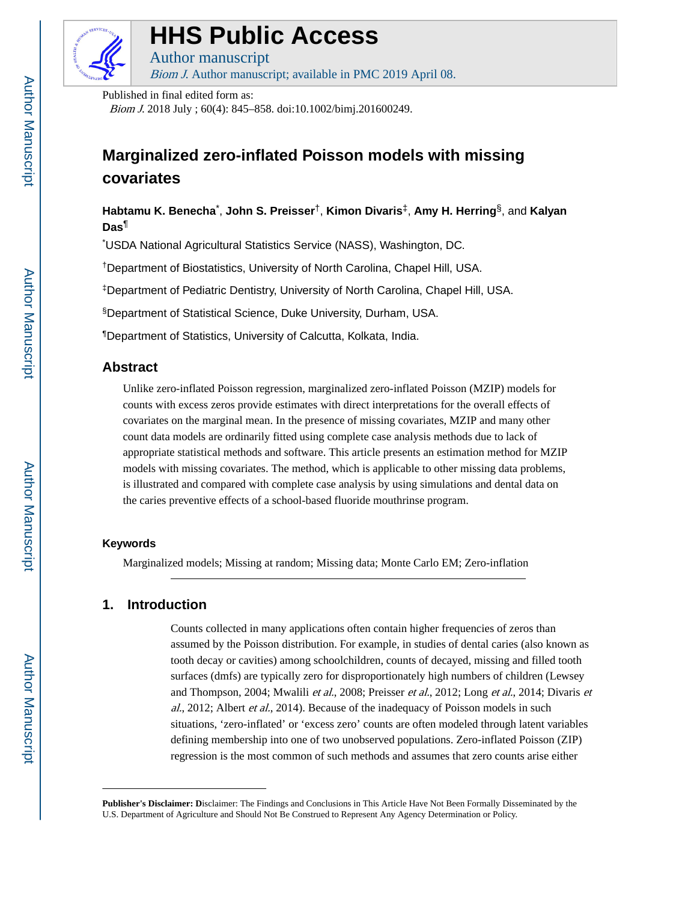

### **HHS Public Access**

Author manuscript Biom J. Author manuscript; available in PMC 2019 April 08.

Published in final edited form as:

Biom J. 2018 July ; 60(4): 845–858. doi:10.1002/bimj.201600249.

### **Marginalized zero-inflated Poisson models with missing covariates**

**Habtamu K. Benecha**\* , **John S. Preisser**†, **Kimon Divaris**‡, **Amy H. Herring**§, and **Kalyan Das**¶

\*USDA National Agricultural Statistics Service (NASS), Washington, DC.

†Department of Biostatistics, University of North Carolina, Chapel Hill, USA.

‡Department of Pediatric Dentistry, University of North Carolina, Chapel Hill, USA.

§Department of Statistical Science, Duke University, Durham, USA.

¶Department of Statistics, University of Calcutta, Kolkata, India.

#### **Abstract**

Unlike zero-inflated Poisson regression, marginalized zero-inflated Poisson (MZIP) models for counts with excess zeros provide estimates with direct interpretations for the overall effects of covariates on the marginal mean. In the presence of missing covariates, MZIP and many other count data models are ordinarily fitted using complete case analysis methods due to lack of appropriate statistical methods and software. This article presents an estimation method for MZIP models with missing covariates. The method, which is applicable to other missing data problems, is illustrated and compared with complete case analysis by using simulations and dental data on the caries preventive effects of a school-based fluoride mouthrinse program.

#### **Keywords**

Marginalized models; Missing at random; Missing data; Monte Carlo EM; Zero-inflation

#### **1. Introduction**

Counts collected in many applications often contain higher frequencies of zeros than assumed by the Poisson distribution. For example, in studies of dental caries (also known as tooth decay or cavities) among schoolchildren, counts of decayed, missing and filled tooth surfaces (dmfs) are typically zero for disproportionately high numbers of children (Lewsey and Thompson, 2004; Mwalili et al., 2008; Preisser et al., 2012; Long et al., 2014; Divaris et al., 2012; Albert et al., 2014). Because of the inadequacy of Poisson models in such situations, 'zero-inflated' or 'excess zero' counts are often modeled through latent variables defining membership into one of two unobserved populations. Zero-inflated Poisson (ZIP) regression is the most common of such methods and assumes that zero counts arise either

**Publisher's Disclaimer: D**isclaimer: The Findings and Conclusions in This Article Have Not Been Formally Disseminated by the U.S. Department of Agriculture and Should Not Be Construed to Represent Any Agency Determination or Policy.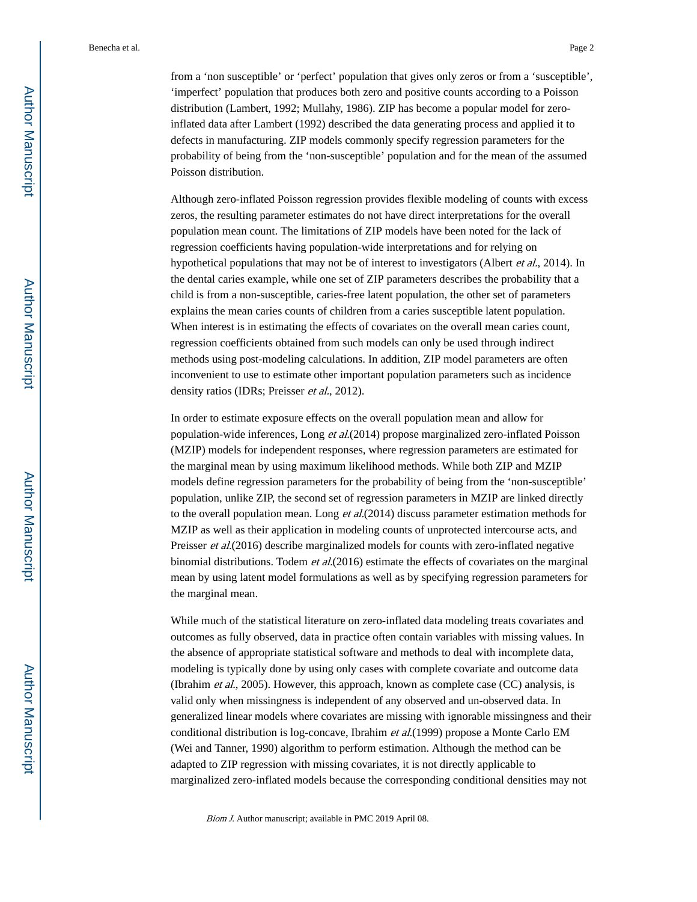from a 'non susceptible' or 'perfect' population that gives only zeros or from a 'susceptible', 'imperfect' population that produces both zero and positive counts according to a Poisson distribution (Lambert, 1992; Mullahy, 1986). ZIP has become a popular model for zeroinflated data after Lambert (1992) described the data generating process and applied it to defects in manufacturing. ZIP models commonly specify regression parameters for the probability of being from the 'non-susceptible' population and for the mean of the assumed Poisson distribution.

Although zero-inflated Poisson regression provides flexible modeling of counts with excess zeros, the resulting parameter estimates do not have direct interpretations for the overall population mean count. The limitations of ZIP models have been noted for the lack of regression coefficients having population-wide interpretations and for relying on hypothetical populations that may not be of interest to investigators (Albert et al., 2014). In the dental caries example, while one set of ZIP parameters describes the probability that a child is from a non-susceptible, caries-free latent population, the other set of parameters explains the mean caries counts of children from a caries susceptible latent population. When interest is in estimating the effects of covariates on the overall mean caries count, regression coefficients obtained from such models can only be used through indirect methods using post-modeling calculations. In addition, ZIP model parameters are often inconvenient to use to estimate other important population parameters such as incidence density ratios (IDRs; Preisser et al., 2012).

In order to estimate exposure effects on the overall population mean and allow for population-wide inferences, Long et al.(2014) propose marginalized zero-inflated Poisson (MZIP) models for independent responses, where regression parameters are estimated for the marginal mean by using maximum likelihood methods. While both ZIP and MZIP models define regression parameters for the probability of being from the 'non-susceptible' population, unlike ZIP, the second set of regression parameters in MZIP are linked directly to the overall population mean. Long et al.(2014) discuss parameter estimation methods for MZIP as well as their application in modeling counts of unprotected intercourse acts, and Preisser *et al.*(2016) describe marginalized models for counts with zero-inflated negative binomial distributions. Todem *et al.*(2016) estimate the effects of covariates on the marginal mean by using latent model formulations as well as by specifying regression parameters for the marginal mean.

While much of the statistical literature on zero-inflated data modeling treats covariates and outcomes as fully observed, data in practice often contain variables with missing values. In the absence of appropriate statistical software and methods to deal with incomplete data, modeling is typically done by using only cases with complete covariate and outcome data (Ibrahim et al., 2005). However, this approach, known as complete case (CC) analysis, is valid only when missingness is independent of any observed and un-observed data. In generalized linear models where covariates are missing with ignorable missingness and their conditional distribution is log-concave, Ibrahim et al.(1999) propose a Monte Carlo EM (Wei and Tanner, 1990) algorithm to perform estimation. Although the method can be adapted to ZIP regression with missing covariates, it is not directly applicable to marginalized zero-inflated models because the corresponding conditional densities may not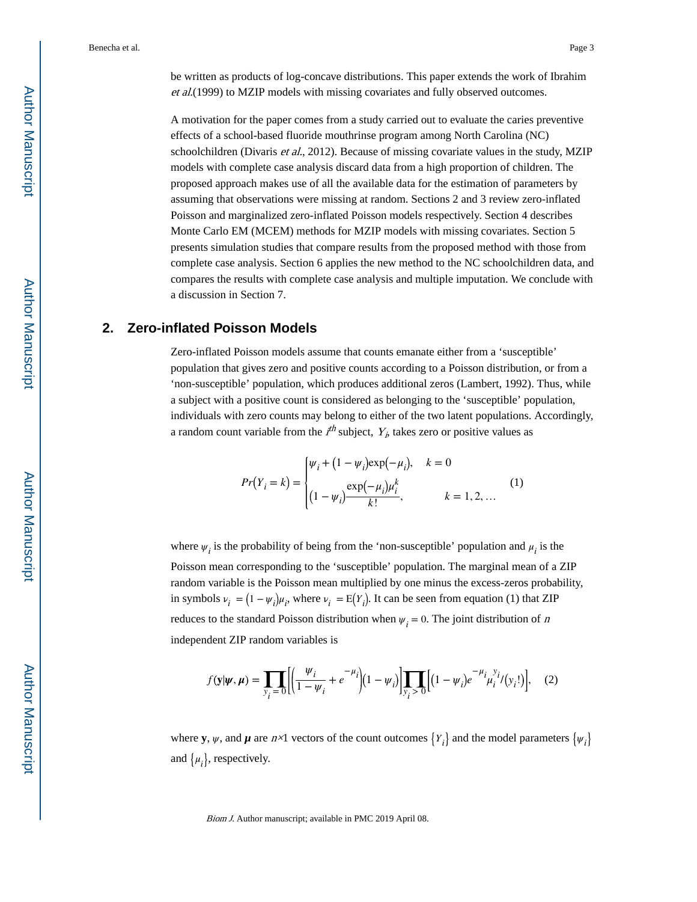be written as products of log-concave distributions. This paper extends the work of Ibrahim et al.(1999) to MZIP models with missing covariates and fully observed outcomes.

A motivation for the paper comes from a study carried out to evaluate the caries preventive effects of a school-based fluoride mouthrinse program among North Carolina (NC) schoolchildren (Divaris *et al.*, 2012). Because of missing covariate values in the study, MZIP models with complete case analysis discard data from a high proportion of children. The proposed approach makes use of all the available data for the estimation of parameters by assuming that observations were missing at random. Sections 2 and 3 review zero-inflated Poisson and marginalized zero-inflated Poisson models respectively. Section 4 describes Monte Carlo EM (MCEM) methods for MZIP models with missing covariates. Section 5 presents simulation studies that compare results from the proposed method with those from complete case analysis. Section 6 applies the new method to the NC schoolchildren data, and compares the results with complete case analysis and multiple imputation. We conclude with a discussion in Section 7.

#### **2. Zero-inflated Poisson Models**

Zero-inflated Poisson models assume that counts emanate either from a 'susceptible' population that gives zero and positive counts according to a Poisson distribution, or from a 'non-susceptible' population, which produces additional zeros (Lambert, 1992). Thus, while a subject with a positive count is considered as belonging to the 'susceptible' population, individuals with zero counts may belong to either of the two latent populations. Accordingly, a random count variable from the  $i^{th}$  subject,  $Y_i$ , takes zero or positive values as

$$
Pr(Y_i = k) = \begin{cases} \psi_i + (1 - \psi_i) \exp(-\mu_i), & k = 0\\ \frac{\exp(-\mu_i)\mu_i^k}{k!}, & k = 1, 2, ... \end{cases}
$$
 (1)

where  $\psi_i$  is the probability of being from the 'non-susceptible' population and  $\mu_i$  is the Poisson mean corresponding to the 'susceptible' population. The marginal mean of a ZIP random variable is the Poisson mean multiplied by one minus the excess-zeros probability, in symbols  $v_i = (1 - \psi_i)\mu_i$ , where  $v_i = E(Y_i)$ . It can be seen from equation (1) that ZIP Poisson mean corresponding to the 'susceptible' population. The marginal mean of random variable is the Poisson mean multiplied by one minus the excess-zeros prob<br>in symbols  $v_i = (1 - \psi_i)\mu_i$ , where  $v_i = E(Y_i)$ . It can be seen independent ZIP random variables is

$$
f(\mathbf{y}|\boldsymbol{\psi}, \boldsymbol{\mu}) = \prod_{y_i=0} \left[ \left( \frac{\psi_i}{1-\psi_i} + e^{-\mu_i} \right) (1-\psi_i) \right] \prod_{y_i>0} \left[ (1-\psi_i) e^{-\mu_i} \mu_i^{y_i} / (y_i!) \right], \quad (2)
$$

where **y**,  $\psi$ , and  $\mu$  are  $n \times 1$  vectors of the count outcomes  $\{Y_i\}$  and the model parameters  $\{\psi_i\}$ and  $\{\mu_i\}$ , respectively.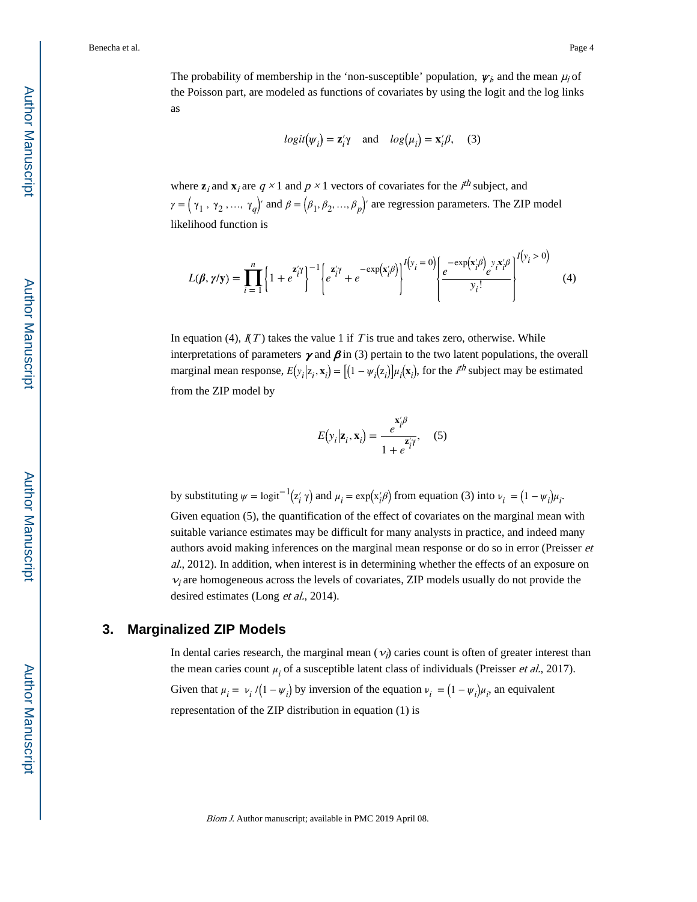The probability of membership in the 'non-susceptible' population,  $\psi_i$ , and the mean  $\mu_i$  of the Poisson part, are modeled as functions of covariates by using the logit and the log links as

$$
logit(\psi_i) = \mathbf{z}'_i \gamma
$$
 and  $log(\mu_i) = \mathbf{x}'_i \beta$ , (3)

where  $\mathbf{z}_i$  and  $\mathbf{x}_i$  are  $q \times 1$  and  $p \times 1$  vectors of covariates for the  $i^{th}$  subject, and  $\gamma = (\gamma_1, \gamma_2, ..., \gamma_q)'$  and  $\beta = (\beta_1, \beta_2, ..., \beta_p)'$  are regression parameters. The ZIP model likelihood function is

$$
L(\boldsymbol{\beta}, \boldsymbol{\gamma}/\mathbf{y}) = \prod_{i=1}^{n} \left\{ 1 + e^{\mathbf{z}'_i \boldsymbol{\gamma}} \right\}^{-1} \left\{ e^{\mathbf{z}'_i \boldsymbol{\gamma}} + e^{-\exp(\mathbf{x}'_i \boldsymbol{\beta})} \right\}^{I(y_i = 0)} \left\{ e^{-\exp(\mathbf{x}'_i \boldsymbol{\beta})} e^{\mathbf{y}_i \mathbf{x}'_i \boldsymbol{\beta}} \right\}^{I(y_i > 0)} \tag{4}
$$

In equation (4),  $I(T)$  takes the value 1 if T is true and takes zero, otherwise. While interpretations of parameters  $\gamma$  and  $\beta$  in (3) pertain to the two latent populations, the overall marginal mean response,  $E(y_i|z_i, \mathbf{x}_i) = [(1 - \psi_i(z_i)]\mu_i(\mathbf{x}_i)$ , for the  $i^{th}$  subject may be estimated from the ZIP model by

$$
E(y_i|\mathbf{z}_i, \mathbf{x}_i) = \frac{e^{\mathbf{x}'_i \beta}}{1 + e^{\mathbf{z}'_i \gamma}},
$$
 (5)

by substituting  $\psi = \text{logit}^{-1}(z_i' \gamma)$  and  $\mu_i = \exp(x_i' \beta)$  from equation (3) into  $\nu_i = (1 - \psi_i)\mu_i$ .

Given equation (5), the quantification of the effect of covariates on the marginal mean with suitable variance estimates may be difficult for many analysts in practice, and indeed many authors avoid making inferences on the marginal mean response or do so in error (Preisser et al., 2012). In addition, when interest is in determining whether the effects of an exposure on  $v_i$  are homogeneous across the levels of covariates, ZIP models usually do not provide the desired estimates (Long et al., 2014).

#### **3. Marginalized ZIP Models**

In dental caries research, the marginal mean  $(v_i)$  caries count is often of greater interest than the mean caries count  $\mu_i$  of a susceptible latent class of individuals (Preisser *et al.*, 2017). Given that  $\mu_i = \nu_i / (1 - \psi_i)$  by inversion of the equation  $\nu_i = (1 - \psi_i) \mu_i$ , an equivalent representation of the ZIP distribution in equation (1) is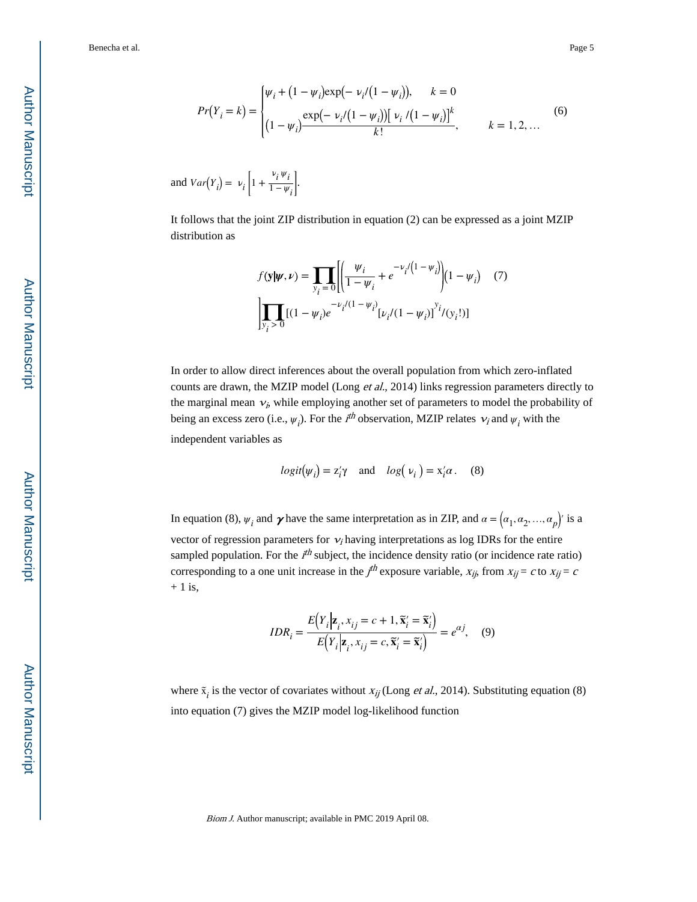$$
Pr(Y_i = k) = \begin{cases} \n\psi_i + (1 - \psi_i) \exp(-\nu_i/(1 - \psi_i)), & k = 0\\ \n\frac{\exp(-\nu_i/(1 - \psi_i))}{k!} \psi_i/(1 - \psi_i)\n\end{cases}
$$
\n(6)

and  $Var(Y_i) = V_i | 1 +$ ν *i ψ i*  $1 - \psi_i$ .

It follows that the joint ZIP distribution in equation (2) can be expressed as a joint MZIP distribution as

$$
f(\mathbf{y}|\boldsymbol{\psi}, \nu) = \prod_{y_i=0} \left[ \left( \frac{\psi_i}{1 - \psi_i} + e^{-\nu_i/(1 - \psi_i)} \right) (1 - \psi_i) \right] (7)
$$

$$
\prod_{y_i>0} [(1 - \psi_i)e^{-\nu_i/(1 - \psi_i)} [\nu_i/(1 - \psi_i)]^{y_i}/(y_i!)]
$$

In order to allow direct inferences about the overall population from which zero-inflated counts are drawn, the MZIP model (Long *et al.*, 2014) links regression parameters directly to the marginal mean  $v_i$ , while employing another set of parameters to model the probability of being an excess zero (i.e.,  $\psi_i$ ). For the  $i^{th}$  observation, MZIP relates  $v_i$  and  $\psi_i$  with the independent variables as

$$
logit(\psi_i) = z'_i \gamma
$$
 and  $log(\psi_i) = x'_i \alpha$ . (8)

In equation (8),  $\psi_i$  and  $\gamma$  have the same interpretation as in ZIP, and  $\alpha = (\alpha_1, \alpha_2, ..., \alpha_p)'$  is a vector of regression parameters for  $v_i$  having interpretations as log IDRs for the entire sampled population. For the  $i<sup>th</sup>$  subject, the incidence density ratio (or incidence rate ratio) corresponding to a one unit increase in the  $j<sup>th</sup>$  exposure variable,  $x_{ij}$  from  $x_{ij} = c$  to  $x_{ij} = c$  $+1$  is,

$$
IDR_i = \frac{E(Y_i|\mathbf{z}_i, x_{ij} = c + 1, \tilde{\mathbf{x}}'_i = \tilde{\mathbf{x}}'_i)}{E(Y_i|\mathbf{z}_i, x_{ij} = c, \tilde{\mathbf{x}}'_i = \tilde{\mathbf{x}}'_i)} = e^{\alpha j}, \quad (9)
$$

where  $\tilde{x}_i$  is the vector of covariates without  $x_{ij}$  (Long *et al.*, 2014). Substituting equation (8) into equation (7) gives the MZIP model log-likelihood function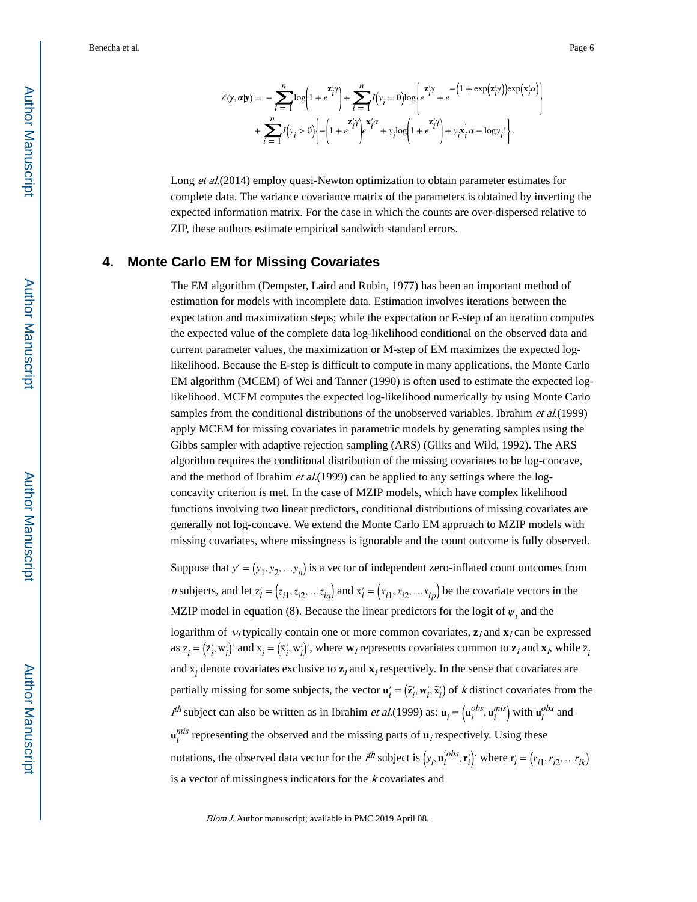$$
\mathcal{E}(\mathbf{y}, \mathbf{a}|\mathbf{y}) = -\sum_{i=1}^{n} \log \left( 1 + e^{\mathbf{z}'_i \mathbf{y}'} \right) + \sum_{i=1}^{n} I(y_i = 0) \log \left\{ e^{\mathbf{z}'_i \mathbf{y}} + e^{-\left( 1 + \exp(\mathbf{z}'_i \mathbf{y}) \right) \exp(\mathbf{x}'_i \mathbf{z})} \right.
$$

$$
+ \sum_{i=1}^{n} I(y_i > 0) \left\{ -\left( 1 + e^{\mathbf{z}'_i \mathbf{y}} \right) e^{\mathbf{x}'_i \mathbf{z}} + y_i \log \left( 1 + e^{\mathbf{z}'_i \mathbf{y}} \right) + y_i \mathbf{x}'_i \mathbf{z} - \log y_i! \right\}.
$$

Long et al.(2014) employ quasi-Newton optimization to obtain parameter estimates for complete data. The variance covariance matrix of the parameters is obtained by inverting the expected information matrix. For the case in which the counts are over-dispersed relative to ZIP, these authors estimate empirical sandwich standard errors.

#### **4. Monte Carlo EM for Missing Covariates**

The EM algorithm (Dempster, Laird and Rubin, 1977) has been an important method of estimation for models with incomplete data. Estimation involves iterations between the expectation and maximization steps; while the expectation or E-step of an iteration computes the expected value of the complete data log-likelihood conditional on the observed data and current parameter values, the maximization or M-step of EM maximizes the expected loglikelihood. Because the E-step is difficult to compute in many applications, the Monte Carlo EM algorithm (MCEM) of Wei and Tanner (1990) is often used to estimate the expected loglikelihood. MCEM computes the expected log-likelihood numerically by using Monte Carlo samples from the conditional distributions of the unobserved variables. Ibrahim et al.(1999) apply MCEM for missing covariates in parametric models by generating samples using the Gibbs sampler with adaptive rejection sampling (ARS) (Gilks and Wild, 1992). The ARS algorithm requires the conditional distribution of the missing covariates to be log-concave, and the method of Ibrahim *et al.*(1999) can be applied to any settings where the logconcavity criterion is met. In the case of MZIP models, which have complex likelihood functions involving two linear predictors, conditional distributions of missing covariates are generally not log-concave. We extend the Monte Carlo EM approach to MZIP models with missing covariates, where missingness is ignorable and the count outcome is fully observed.

Suppose that  $y' = (y_1, y_2, \ldots, y_n)$  is a vector of independent zero-inflated count outcomes from *n* subjects, and let  $z'_i = (z_{i1}, z_{i2}, \dots, z_{iq})$  and  $x'_i = (x_{i1}, x_{i2}, \dots, x_{ip})$  be the covariate vectors in the MZIP model in equation (8). Because the linear predictors for the logit of  $\psi_i$  and the logarithm of  $v_i$  typically contain one or more common covariates,  $z_i$  and  $x_i$  can be expressed as  $z_i = (\tilde{z}_i', w_i')'$  and  $x_i = (\tilde{x}_i', w_i')'$ , where  $w_i$  represents covariates common to  $z_i$  and  $x_i$ , while  $\tilde{z}_i$ *i* and  $\tilde{x}_i$  denote covariates exclusive to  $z_i$  and  $x_i$  respectively. In the sense that covariates are partially missing for some subjects, the vector  $\mathbf{u}'_i = (\tilde{\mathbf{z}}'_i, \mathbf{w}'_i, \tilde{\mathbf{x}}'_i)$  of *k* distinct covariates from the  $t^{th}$  subject can also be written as in Ibrahim *et al.*(1999) as:  $\mathbf{u}_i = (\mathbf{u}_i^{obs}, \mathbf{u}_i^{mis})$  with  $\mathbf{u}_i^{obs}$  and  $\mathbf{u}_i^{mis}$  representing the observed and the missing parts of  $\mathbf{u}_i$  respectively. Using these notations, the observed data vector for the  $i^{th}$  subject is  $(y_i, \mathbf{u}_i^{'obs}, \mathbf{r}_i^{'})'$  where  $\mathbf{r}_i = (r_{i1}, r_{i2}, \dots r_{ik})$ is a vector of missingness indicators for the k covariates and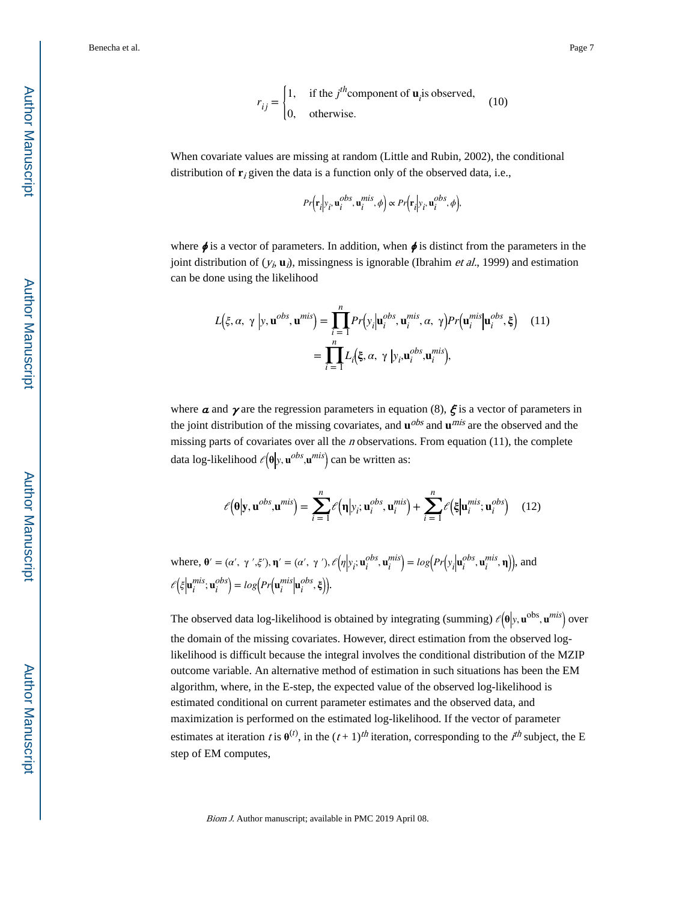$$
r_{ij} = \begin{cases} 1, & \text{if the } j^{th} \text{component of } \mathbf{u}_i \text{ is observed,} \\ 0, & \text{otherwise.} \end{cases}
$$
 (10)

When covariate values are missing at random (Little and Rubin, 2002), the conditional distribution of  $\mathbf{r}_i$  given the data is a function only of the observed data, i.e.,

$$
Pr(r_i|y_i, \mathbf{u}_i^{obs}, \mathbf{u}_i^{mis}, \phi) \propto Pr(r_i|y_i, \mathbf{u}_i^{obs}, \phi),
$$

where  $\phi$  is a vector of parameters. In addition, when  $\phi$  is distinct from the parameters in the joint distribution of  $(y_i, \mathbf{u}_i)$ , missingness is ignorable (Ibrahim *et al.*, 1999) and estimation can be done using the likelihood

$$
L(\xi, \alpha, \gamma | y, \mathbf{u}^{obs}, \mathbf{u}^{mis}) = \prod_{i=1}^{n} Pr(y_i | \mathbf{u}_i^{obs}, \mathbf{u}_i^{mis}, \alpha, \gamma) Pr(\mathbf{u}_i^{mis} | \mathbf{u}_i^{obs}, \xi) \quad (11)
$$

$$
= \prod_{i=1}^{n} L_i(\xi, \alpha, \gamma | y_i, \mathbf{u}_i^{obs}, \mathbf{u}_i^{mis}),
$$

where  $\alpha$  and  $\gamma$  are the regression parameters in equation (8),  $\zeta$  is a vector of parameters in the joint distribution of the missing covariates, and  $\mathbf{u}^{obs}$  and  $\mathbf{u}^{mis}$  are the observed and the missing parts of covariates over all the  $n$  observations. From equation (11), the complete data log-likelihood ℓ **θ** *y*, **u** *obs* ,**u** *mis* can be written as:

$$
\ell(\mathbf{\theta}|\mathbf{y}, \mathbf{u}^{obs}, \mathbf{u}^{mis}) = \sum_{i=1}^{n} \ell(\mathbf{\eta}|y_i; \mathbf{u}_i^{obs}, \mathbf{u}_i^{mis}) + \sum_{i=1}^{n} \ell(\xi|\mathbf{u}_i^{mis}; \mathbf{u}_i^{obs})
$$
 (12)

where,  $\mathbf{\theta}' = (\alpha', \gamma', \xi'), \mathbf{\eta}' = (\alpha', \gamma'), \ell(\eta|y_i; \mathbf{u}_i^{obs}, \mathbf{u}_i^{mis}) = log(Pr(y_i|\mathbf{u}_i^{obs}, \mathbf{u}_i^{mis}, \mathbf{\eta})),$  and  $\mathcal{E}(\xi | \mathbf{u}_i^{mis}; \mathbf{u}_i^{obs}) = log(Pr(\mathbf{u}_i^{mis} | \mathbf{u}_i^{obs}, \xi)).$ 

The observed data log-likelihood is obtained by integrating (summing)  $\ell(\theta|y, \mathbf{u}^{\text{obs}}, \mathbf{u}^{\text{mis}})$  over the domain of the missing covariates. However, direct estimation from the observed loglikelihood is difficult because the integral involves the conditional distribution of the MZIP outcome variable. An alternative method of estimation in such situations has been the EM algorithm, where, in the E-step, the expected value of the observed log-likelihood is estimated conditional on current parameter estimates and the observed data, and maximization is performed on the estimated log-likelihood. If the vector of parameter estimates at iteration t is  $\theta^{(t)}$ , in the  $(t+1)^{th}$  iteration, corresponding to the  $i^{th}$  subject, the E step of EM computes,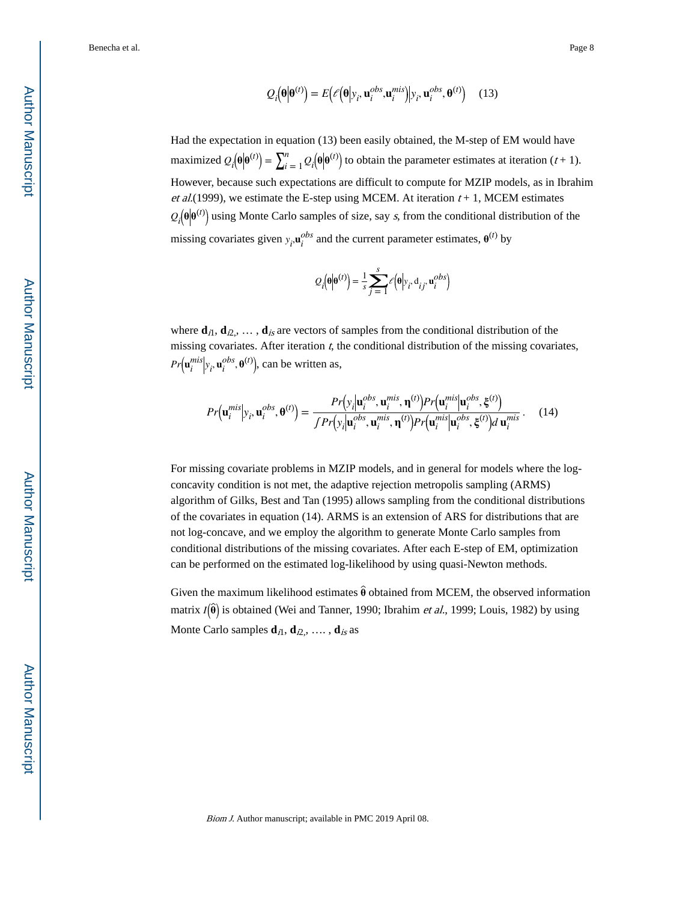$$
Q_i(\mathbf{\theta}|\mathbf{\theta}^{(t)}) = E\big(\ell\big(\mathbf{\theta}|y_i, \mathbf{u}_i^{obs}, \mathbf{u}_i^{mis}\big)|y_i, \mathbf{u}_i^{obs}, \mathbf{\theta}^{(t)}\big) \tag{13}
$$

Had the expectation in equation (13) been easily obtained, the M-step of EM would have maximized  $Q_i(\theta|\theta^{(t)}) = \sum_{i=1}^{n}$  $\frac{n}{t-1}Q_i(\theta|\theta^{(t)})$  to obtain the parameter estimates at iteration (t+1). However, because such expectations are difficult to compute for MZIP models, as in Ibrahim et al.(1999), we estimate the E-step using MCEM. At iteration  $t + 1$ , MCEM estimates  $Q_i(\theta|\theta^{(t)})$  using Monte Carlo samples of size, say s, from the conditional distribution of the missing covariates given  $y_i$ ,  $\mathbf{u}_i^{obs}$  and the current parameter estimates,  $\mathbf{\theta}^{(t)}$  by

$$
Q_i(\mathbf{\theta}|\mathbf{\theta}^{(t)}) = \frac{1}{s} \sum_{j=1}^{s} \mathcal{E}(\mathbf{\theta}|y_i, d_{ij}, \mathbf{u}_i^{obs})
$$

where  $\mathbf{d}_{i1}, \mathbf{d}_{i2}, \ldots, \mathbf{d}_{is}$  are vectors of samples from the conditional distribution of the missing covariates. After iteration  $t$ , the conditional distribution of the missing covariates,  $Pr(\mathbf{u}_i^{mis} | y_i, \mathbf{u}_i^{obs}, \mathbf{\theta}^{(t)})$ , can be written as,

$$
Pr(\mathbf{u}_{i}^{mis}|\mathbf{y}_{i}, \mathbf{u}_{i}^{obs}, \mathbf{\theta}^{(t)}) = \frac{Pr(\mathbf{y}_{i}|\mathbf{u}_{i}^{obs}, \mathbf{u}_{i}^{mis}, \mathbf{\eta}^{(t)}) Pr(\mathbf{u}_{i}^{mis}|\mathbf{u}_{i}^{obs}, \boldsymbol{\xi}^{(t)})}{\int Pr(\mathbf{y}_{i}|\mathbf{u}_{i}^{obs}, \mathbf{u}_{i}^{mis}, \mathbf{\eta}^{(t)}) Pr(\mathbf{u}_{i}^{mis}|\mathbf{u}_{i}^{obs}, \boldsymbol{\xi}^{(t)}) d\mathbf{u}_{i}^{mis}}.
$$
(14)

For missing covariate problems in MZIP models, and in general for models where the logconcavity condition is not met, the adaptive rejection metropolis sampling (ARMS) algorithm of Gilks, Best and Tan (1995) allows sampling from the conditional distributions of the covariates in equation (14). ARMS is an extension of ARS for distributions that are not log-concave, and we employ the algorithm to generate Monte Carlo samples from conditional distributions of the missing covariates. After each E-step of EM, optimization can be performed on the estimated log-likelihood by using quasi-Newton methods.

Given the maximum likelihood estimates  $\hat{\theta}$  obtained from MCEM, the observed information matrix  $I(\hat{\theta})$  is obtained (Wei and Tanner, 1990; Ibrahim *et al.*, 1999; Louis, 1982) by using Monte Carlo samples  $\mathbf{d}_{i1}$ ,  $\mathbf{d}_{i2}$ , ....,  $\mathbf{d}_{is}$  as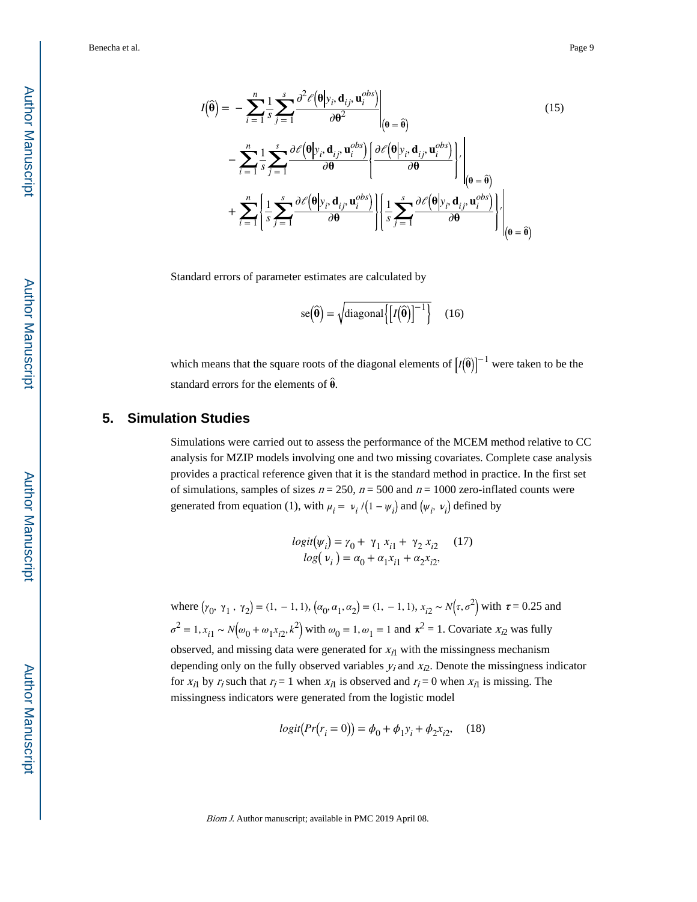$$
I(\hat{\theta}) = -\sum_{i=1}^{n} \frac{1}{s} \sum_{j=1}^{s} \frac{\partial^{2} \ell(\theta | y_{i}, \mathbf{d}_{ij}, \mathbf{u}_{i}^{obs})}{\partial \theta^{2}} \Big|_{(\theta = \hat{\theta})} \qquad (15)
$$

$$
- \sum_{i=1}^{n} \frac{1}{s} \sum_{j=1}^{s} \frac{\partial \ell(\theta | y_{i}, \mathbf{d}_{ij}, \mathbf{u}_{i}^{obs})}{\partial \theta} \Bigg\{ \frac{\partial \ell(\theta | y_{i}, \mathbf{d}_{ij}, \mathbf{u}_{i}^{obs})}{\partial \theta} \Bigg\} \Big|_{(\theta = \hat{\theta})} \qquad (15)
$$

$$
+ \sum_{i=1}^{n} \Bigg\{ \frac{1}{s} \sum_{j=1}^{s} \frac{\partial \ell(\theta | y_{i}, \mathbf{d}_{ij}, \mathbf{u}_{i}^{obs})}{\partial \theta} \Bigg\} \Bigg\{ \frac{1}{s} \sum_{j=1}^{s} \frac{\partial \ell(\theta | y_{i}, \mathbf{d}_{ij}, \mathbf{u}_{i}^{obs})}{\partial \theta} \Bigg\} \Big|_{(\theta = \hat{\theta})} \Bigg\}
$$

Standard errors of parameter estimates are calculated by

$$
se(\widehat{\boldsymbol{\theta}}) = \sqrt{\text{diagonal}\left\{ \left[ I(\widehat{\boldsymbol{\theta}}) \right]^{-1} \right\}} \quad (16)
$$

which means that the square roots of the diagonal elements of  $\left[I(\hat{\theta})\right]^{-1}$  were taken to be the standard errors for the elements of **θ**.

#### **5. Simulation Studies**

Simulations were carried out to assess the performance of the MCEM method relative to CC analysis for MZIP models involving one and two missing covariates. Complete case analysis provides a practical reference given that it is the standard method in practice. In the first set of simulations, samples of sizes  $n = 250$ ,  $n = 500$  and  $n = 1000$  zero-inflated counts were generated from equation (1), with  $\mu_i = \nu_i / (1 - \psi_i)$ ance of the MC<br>missing covariat<br>tandard method<br>and  $n = 1000$  zes<br>and  $(\psi_i, \nu_i)$  defi defined by

$$
logit(\psi_i) = \gamma_0 + \gamma_1 x_{i1} + \gamma_2 x_{i2} \qquad (17)
$$
  

$$
log(\psi_i) = \alpha_0 + \alpha_1 x_{i1} + \alpha_2 x_{i2},
$$

where  $(\gamma_0, \gamma_1, \gamma_2) = (1, -1, 1), (\alpha_0, \alpha_1, \alpha_2) = (1, -1, 1), x_{i2} \sim N(\tau, \sigma^2)$  with  $\tau = 0.25$  and  $\sigma^2 = 1$ ,  $x_{i1} \sim N(\omega_0 + \omega_1 x_{i2}, k^2)$  with  $\omega_0 = 1$ ,  $\omega_1 = 1$  and  $\kappa^2 = 1$ . Covariate  $x_{i2}$  was fully observed, and missing data were generated for  $x_{i1}$  with the missingness mechanism depending only on the fully observed variables  $y_i$  and  $x_{i2}$ . Denote the missingness indicator for  $x_{i1}$  by  $r_i$  such that  $r_i = 1$  when  $x_{i1}$  is observed and  $r_i = 0$  when  $x_{i1}$  is missing. The missingness indicators were generated from the logistic model

$$
logit(Pr(r_i = 0)) = \phi_0 + \phi_1 y_i + \phi_2 x_{i2}, \quad (18)
$$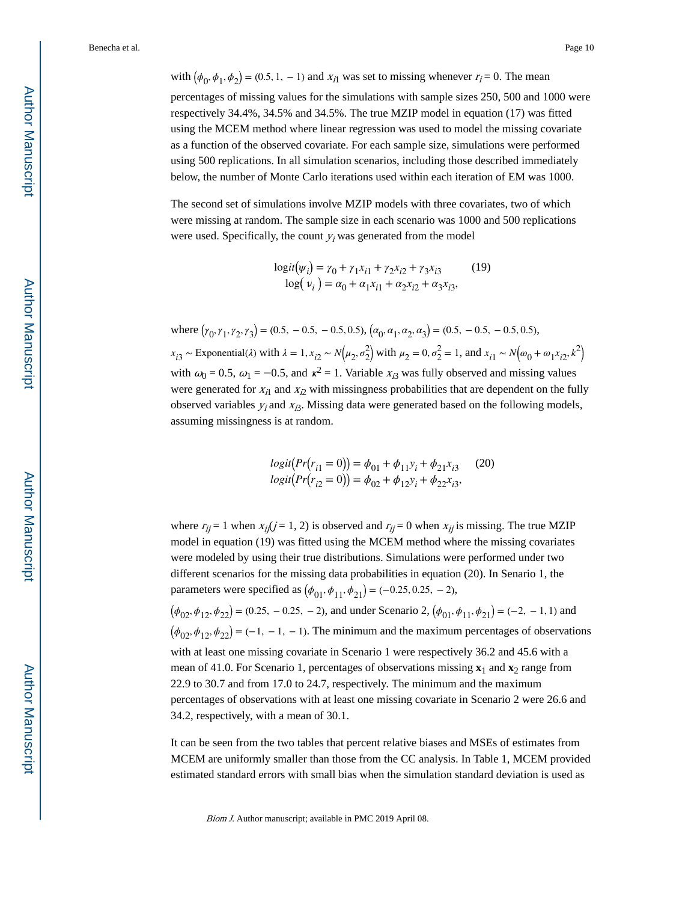with  $(\phi_0, \phi_1, \phi_2) = (0.5, 1, -1)$  and  $x_{i1}$  was set to missing whenever  $r_i = 0$ . The mean percentages of missing values for the simulations with sample sizes 250, 500 and 1000 were respectively 34.4%, 34.5% and 34.5%. The true MZIP model in equation (17) was fitted using the MCEM method where linear regression was used to model the missing covariate as a function of the observed covariate. For each sample size, simulations were performed using 500 replications. In all simulation scenarios, including those described immediately below, the number of Monte Carlo iterations used within each iteration of EM was 1000.

The second set of simulations involve MZIP models with three covariates, two of which were missing at random. The sample size in each scenario was 1000 and 500 replications were used. Specifically, the count  $y_i$  was generated from the model

$$
\begin{aligned} \log it(\psi_i) &= \gamma_0 + \gamma_1 x_{i1} + \gamma_2 x_{i2} + \gamma_3 x_{i3} \qquad (19) \\ \log(\ \nu_i \ ) &= \alpha_0 + \alpha_1 x_{i1} + \alpha_2 x_{i2} + \alpha_3 x_{i3}, \end{aligned}
$$

where  $(\gamma_0, \gamma_1, \gamma_2, \gamma_3) = (0.5, -0.5, -0.5, 0.5), (\alpha_0, \alpha_1, \alpha_2, \alpha_3) = (0.5, -0.5, -0.5, 0.5),$  $x_{i3} \sim$  Exponential( $\lambda$ ) with  $\lambda = 1, x_{i2} \sim N(\mu_2, \sigma_2^2)$  $\binom{2}{2}$  with  $\mu_2 = 0$ ,  $\sigma_2^2 = 1$ , and  $x_{i1} \sim N(\omega_0 + \omega_1 x_{i2}, k^2)$ with  $\omega_0 = 0.5$ ,  $\omega_1 = -0.5$ , and  $\kappa^2 = 1$ . Variable  $x_{i3}$  was fully observed and missing values were generated for  $x_{i1}$  and  $x_{i2}$  with missingness probabilities that are dependent on the fully observed variables  $y_i$  and  $x_i$ 3. Missing data were generated based on the following models, assuming missingness is at random.

$$
logit(Pr(r_{i1} = 0)) = \phi_{01} + \phi_{11}y_i + \phi_{21}x_{i3}
$$
 (20)  

$$
logit(Pr(r_{i2} = 0)) = \phi_{02} + \phi_{12}y_i + \phi_{22}x_{i3},
$$

where  $r_{ij} = 1$  when  $x_{ij}(j = 1, 2)$  is observed and  $r_{ij} = 0$  when  $x_{ij}$  is missing. The true MZIP model in equation (19) was fitted using the MCEM method where the missing covariates were modeled by using their true distributions. Simulations were performed under two different scenarios for the missing data probabilities in equation (20). In Senario 1, the parameters were specified as  $(\phi_{01}, \phi_{11}, \phi_{21}) = (-0.25, 0.25, -2)$ ,

 $(\phi_{02}, \phi_{12}, \phi_{22}) = (0.25, -0.25, -2)$ , and under Scenario 2,  $(\phi_{01}, \phi_{11}, \phi_{21}) = (-2, -1, 1)$  and  $(\phi_{02}, \phi_{12}, \phi_{22}) = (-1, -1, -1)$ . The minimum and the maximum percentages of observations with at least one missing covariate in Scenario 1 were respectively 36.2 and 45.6 with a mean of 41.0. For Scenario 1, percentages of observations missing **x**1 and **x**2 range from 22.9 to 30.7 and from 17.0 to 24.7, respectively. The minimum and the maximum percentages of observations with at least one missing covariate in Scenario 2 were 26.6 and 34.2, respectively, with a mean of 30.1.

It can be seen from the two tables that percent relative biases and MSEs of estimates from MCEM are uniformly smaller than those from the CC analysis. In Table 1, MCEM provided estimated standard errors with small bias when the simulation standard deviation is used as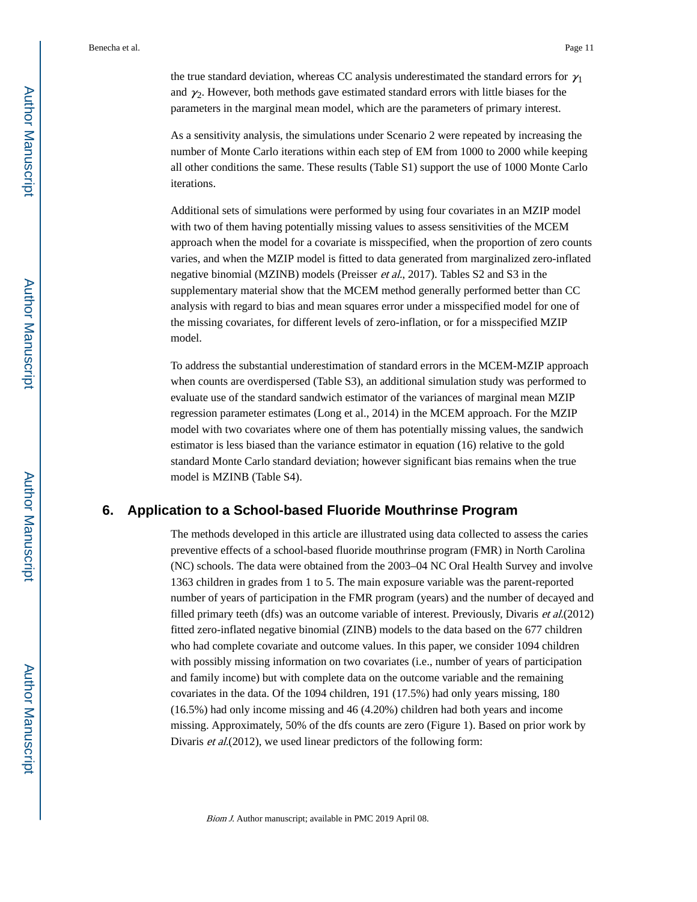the true standard deviation, whereas CC analysis underestimated the standard errors for  $\gamma_1$ and  $\gamma_2$ . However, both methods gave estimated standard errors with little biases for the parameters in the marginal mean model, which are the parameters of primary interest.

As a sensitivity analysis, the simulations under Scenario 2 were repeated by increasing the number of Monte Carlo iterations within each step of EM from 1000 to 2000 while keeping all other conditions the same. These results (Table S1) support the use of 1000 Monte Carlo iterations.

Additional sets of simulations were performed by using four covariates in an MZIP model with two of them having potentially missing values to assess sensitivities of the MCEM approach when the model for a covariate is misspecified, when the proportion of zero counts varies, and when the MZIP model is fitted to data generated from marginalized zero-inflated negative binomial (MZINB) models (Preisser et al., 2017). Tables S2 and S3 in the supplementary material show that the MCEM method generally performed better than CC analysis with regard to bias and mean squares error under a misspecified model for one of the missing covariates, for different levels of zero-inflation, or for a misspecified MZIP model.

To address the substantial underestimation of standard errors in the MCEM-MZIP approach when counts are overdispersed (Table S3), an additional simulation study was performed to evaluate use of the standard sandwich estimator of the variances of marginal mean MZIP regression parameter estimates (Long et al., 2014) in the MCEM approach. For the MZIP model with two covariates where one of them has potentially missing values, the sandwich estimator is less biased than the variance estimator in equation (16) relative to the gold standard Monte Carlo standard deviation; however significant bias remains when the true model is MZINB (Table S4).

#### **6. Application to a School-based Fluoride Mouthrinse Program**

The methods developed in this article are illustrated using data collected to assess the caries preventive effects of a school-based fluoride mouthrinse program (FMR) in North Carolina (NC) schools. The data were obtained from the 2003–04 NC Oral Health Survey and involve 1363 children in grades from 1 to 5. The main exposure variable was the parent-reported number of years of participation in the FMR program (years) and the number of decayed and filled primary teeth (dfs) was an outcome variable of interest. Previously, Divaris et al.(2012) fitted zero-inflated negative binomial (ZINB) models to the data based on the 677 children who had complete covariate and outcome values. In this paper, we consider 1094 children with possibly missing information on two covariates (i.e., number of years of participation and family income) but with complete data on the outcome variable and the remaining covariates in the data. Of the 1094 children, 191 (17.5%) had only years missing, 180 (16.5%) had only income missing and 46 (4.20%) children had both years and income missing. Approximately, 50% of the dfs counts are zero (Figure 1). Based on prior work by Divaris *et al.*(2012), we used linear predictors of the following form: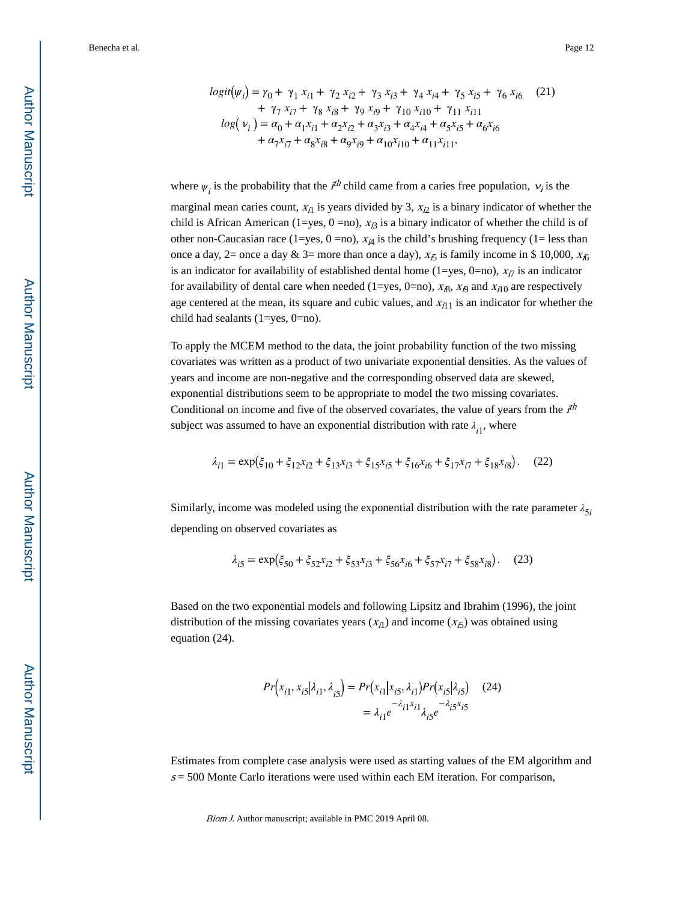$$
logit(\psi_i) = \gamma_0 + \gamma_1 x_{i1} + \gamma_2 x_{i2} + \gamma_3 x_{i3} + \gamma_4 x_{i4} + \gamma_5 x_{i5} + \gamma_6 x_{i6}
$$
 (21)  
+  $\gamma_7 x_{i7} + \gamma_8 x_{i8} + \gamma_9 x_{i9} + \gamma_{10} x_{i10} + \gamma_{11} x_{i11}$   

$$
log(\nu_i) = \alpha_0 + \alpha_1 x_{i1} + \alpha_2 x_{i2} + \alpha_3 x_{i3} + \alpha_4 x_{i4} + \alpha_5 x_{i5} + \alpha_6 x_{i6}
$$
  
+  $\alpha_7 x_{i7} + \alpha_8 x_{i8} + \alpha_9 x_{i9} + \alpha_{10} x_{i10} + \alpha_{11} x_{i11}$ ,

where  $\psi_i$  is the probability that the  $i^{th}$  child came from a caries free population,  $\nu_i$  is the

marginal mean caries count,  $x_{i1}$  is years divided by 3,  $x_{i2}$  is a binary indicator of whether the child is African American (1=yes, 0 =no),  $x_{i3}$  is a binary indicator of whether the child is of other non-Caucasian race (1=yes, 0 =no),  $x_{i4}$  is the child's brushing frequency (1= less than once a day, 2= once a day & 3= more than once a day),  $x_{\tilde{D}}$  is family income in \$ 10,000,  $x_{i\tilde{D}}$ is an indicator for availability of established dental home (1=yes, 0=no),  $x_{i7}$  is an indicator for availability of dental care when needed (1=yes, 0=no),  $x_{i8}$ ,  $x_{i9}$  and  $x_{i10}$  are respectively age centered at the mean, its square and cubic values, and  $x_{i11}$  is an indicator for whether the child had sealants (1=yes, 0=no).

To apply the MCEM method to the data, the joint probability function of the two missing covariates was written as a product of two univariate exponential densities. As the values of years and income are non-negative and the corresponding observed data are skewed, exponential distributions seem to be appropriate to model the two missing covariates. Conditional on income and five of the observed covariates, the value of years from the  $i<sup>th</sup>$ subject was assumed to have an exponential distribution with rate  $\lambda_{i1}$ , where

$$
\lambda_{i1} = \exp(\xi_{10} + \xi_{12}x_{i2} + \xi_{13}x_{i3} + \xi_{15}x_{i5} + \xi_{16}x_{i6} + \xi_{17}x_{i7} + \xi_{18}x_{i8}).
$$
 (22)

Similarly, income was modeled using the exponential distribution with the rate parameter  $\lambda_{5i}$ 5*i* depending on observed covariates as

$$
\lambda_{i5} = \exp(\xi_{50} + \xi_{52}x_{i2} + \xi_{53}x_{i3} + \xi_{56}x_{i6} + \xi_{57}x_{i7} + \xi_{58}x_{i8}).
$$
 (23)

Based on the two exponential models and following Lipsitz and Ibrahim (1996), the joint distribution of the missing covariates years  $(x_{i1})$  and income  $(x_{i5})$  was obtained using equation (24).

$$
Pr(x_{i1}, x_{i5} | \lambda_{i1}, \lambda_{i5}) = Pr(x_{i1} | x_{i5}, \lambda_{i1}) Pr(x_{i5} | \lambda_{i5})
$$
 (24)  

$$
= \lambda_{i1} e^{-\lambda_{i1} x_{i1}} \lambda_{i5} e^{-\lambda_{i5} x_{i5}}
$$

Estimates from complete case analysis were used as starting values of the EM algorithm and  $s = 500$  Monte Carlo iterations were used within each EM iteration. For comparison,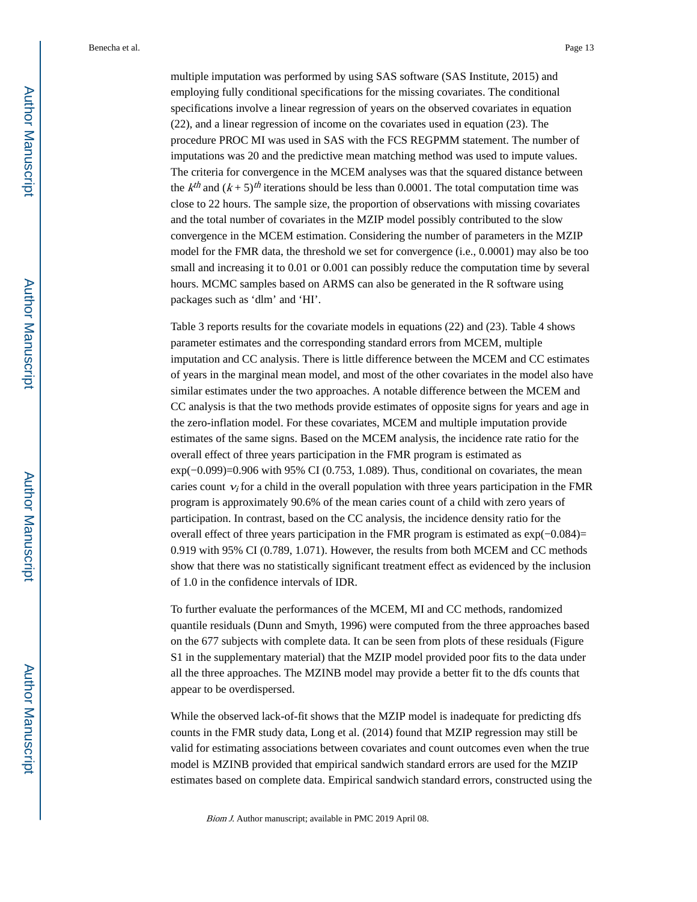multiple imputation was performed by using SAS software (SAS Institute, 2015) and employing fully conditional specifications for the missing covariates. The conditional specifications involve a linear regression of years on the observed covariates in equation (22), and a linear regression of income on the covariates used in equation (23). The procedure PROC MI was used in SAS with the FCS REGPMM statement. The number of imputations was 20 and the predictive mean matching method was used to impute values. The criteria for convergence in the MCEM analyses was that the squared distance between the  $k^{th}$  and  $(k + 5)^{th}$  iterations should be less than 0.0001. The total computation time was close to 22 hours. The sample size, the proportion of observations with missing covariates and the total number of covariates in the MZIP model possibly contributed to the slow convergence in the MCEM estimation. Considering the number of parameters in the MZIP model for the FMR data, the threshold we set for convergence (i.e., 0.0001) may also be too small and increasing it to 0.01 or 0.001 can possibly reduce the computation time by several hours. MCMC samples based on ARMS can also be generated in the R software using packages such as 'dlm' and 'HI'.

Table 3 reports results for the covariate models in equations (22) and (23). Table 4 shows parameter estimates and the corresponding standard errors from MCEM, multiple imputation and CC analysis. There is little difference between the MCEM and CC estimates of years in the marginal mean model, and most of the other covariates in the model also have similar estimates under the two approaches. A notable difference between the MCEM and CC analysis is that the two methods provide estimates of opposite signs for years and age in the zero-inflation model. For these covariates, MCEM and multiple imputation provide estimates of the same signs. Based on the MCEM analysis, the incidence rate ratio for the overall effect of three years participation in the FMR program is estimated as exp(−0.099)=0.906 with 95% CI (0.753, 1.089). Thus, conditional on covariates, the mean caries count  $v_i$  for a child in the overall population with three years participation in the FMR program is approximately 90.6% of the mean caries count of a child with zero years of participation. In contrast, based on the CC analysis, the incidence density ratio for the overall effect of three years participation in the FMR program is estimated as exp(−0.084)= 0.919 with 95% CI (0.789, 1.071). However, the results from both MCEM and CC methods show that there was no statistically significant treatment effect as evidenced by the inclusion of 1.0 in the confidence intervals of IDR.

To further evaluate the performances of the MCEM, MI and CC methods, randomized quantile residuals (Dunn and Smyth, 1996) were computed from the three approaches based on the 677 subjects with complete data. It can be seen from plots of these residuals (Figure S1 in the supplementary material) that the MZIP model provided poor fits to the data under all the three approaches. The MZINB model may provide a better fit to the dfs counts that appear to be overdispersed.

While the observed lack-of-fit shows that the MZIP model is inadequate for predicting dfs counts in the FMR study data, Long et al. (2014) found that MZIP regression may still be valid for estimating associations between covariates and count outcomes even when the true model is MZINB provided that empirical sandwich standard errors are used for the MZIP estimates based on complete data. Empirical sandwich standard errors, constructed using the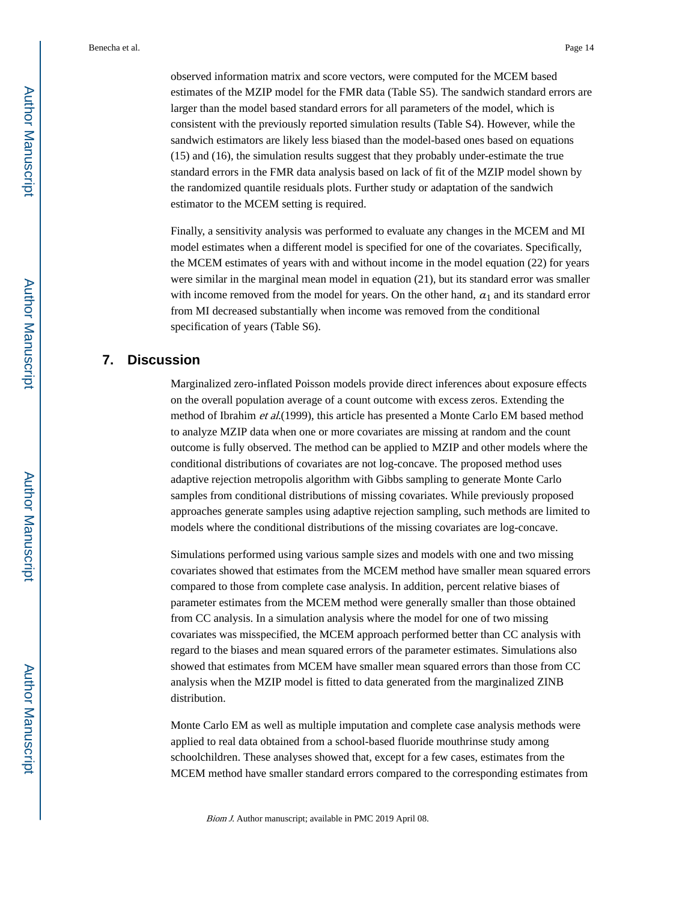observed information matrix and score vectors, were computed for the MCEM based estimates of the MZIP model for the FMR data (Table S5). The sandwich standard errors are larger than the model based standard errors for all parameters of the model, which is consistent with the previously reported simulation results (Table S4). However, while the sandwich estimators are likely less biased than the model-based ones based on equations (15) and (16), the simulation results suggest that they probably under-estimate the true standard errors in the FMR data analysis based on lack of fit of the MZIP model shown by the randomized quantile residuals plots. Further study or adaptation of the sandwich estimator to the MCEM setting is required.

Finally, a sensitivity analysis was performed to evaluate any changes in the MCEM and MI model estimates when a different model is specified for one of the covariates. Specifically, the MCEM estimates of years with and without income in the model equation (22) for years were similar in the marginal mean model in equation (21), but its standard error was smaller with income removed from the model for years. On the other hand,  $a_1$  and its standard error from MI decreased substantially when income was removed from the conditional specification of years (Table S6).

#### **7. Discussion**

Marginalized zero-inflated Poisson models provide direct inferences about exposure effects on the overall population average of a count outcome with excess zeros. Extending the method of Ibrahim et al.(1999), this article has presented a Monte Carlo EM based method to analyze MZIP data when one or more covariates are missing at random and the count outcome is fully observed. The method can be applied to MZIP and other models where the conditional distributions of covariates are not log-concave. The proposed method uses adaptive rejection metropolis algorithm with Gibbs sampling to generate Monte Carlo samples from conditional distributions of missing covariates. While previously proposed approaches generate samples using adaptive rejection sampling, such methods are limited to models where the conditional distributions of the missing covariates are log-concave.

Simulations performed using various sample sizes and models with one and two missing covariates showed that estimates from the MCEM method have smaller mean squared errors compared to those from complete case analysis. In addition, percent relative biases of parameter estimates from the MCEM method were generally smaller than those obtained from CC analysis. In a simulation analysis where the model for one of two missing covariates was misspecified, the MCEM approach performed better than CC analysis with regard to the biases and mean squared errors of the parameter estimates. Simulations also showed that estimates from MCEM have smaller mean squared errors than those from CC analysis when the MZIP model is fitted to data generated from the marginalized ZINB distribution.

Monte Carlo EM as well as multiple imputation and complete case analysis methods were applied to real data obtained from a school-based fluoride mouthrinse study among schoolchildren. These analyses showed that, except for a few cases, estimates from the MCEM method have smaller standard errors compared to the corresponding estimates from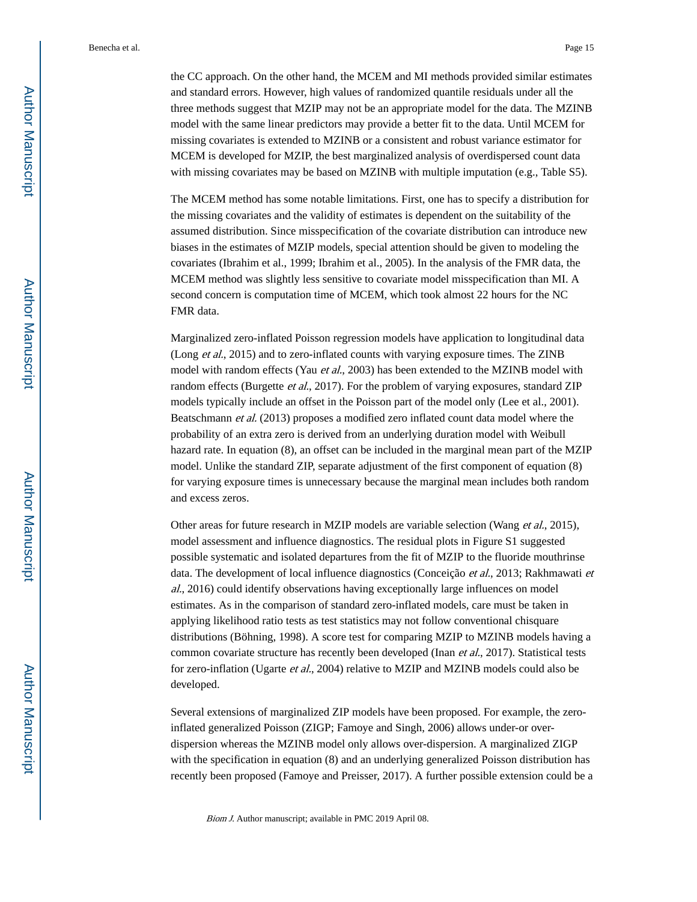the CC approach. On the other hand, the MCEM and MI methods provided similar estimates and standard errors. However, high values of randomized quantile residuals under all the three methods suggest that MZIP may not be an appropriate model for the data. The MZINB model with the same linear predictors may provide a better fit to the data. Until MCEM for missing covariates is extended to MZINB or a consistent and robust variance estimator for MCEM is developed for MZIP, the best marginalized analysis of overdispersed count data with missing covariates may be based on MZINB with multiple imputation (e.g., Table S5).

The MCEM method has some notable limitations. First, one has to specify a distribution for the missing covariates and the validity of estimates is dependent on the suitability of the assumed distribution. Since misspecification of the covariate distribution can introduce new biases in the estimates of MZIP models, special attention should be given to modeling the covariates (Ibrahim et al., 1999; Ibrahim et al., 2005). In the analysis of the FMR data, the MCEM method was slightly less sensitive to covariate model misspecification than MI. A second concern is computation time of MCEM, which took almost 22 hours for the NC FMR data.

Marginalized zero-inflated Poisson regression models have application to longitudinal data (Long et al., 2015) and to zero-inflated counts with varying exposure times. The ZINB model with random effects (Yau et al., 2003) has been extended to the MZINB model with random effects (Burgette *et al.*, 2017). For the problem of varying exposures, standard ZIP models typically include an offset in the Poisson part of the model only (Lee et al., 2001). Beatschmann et al. (2013) proposes a modified zero inflated count data model where the probability of an extra zero is derived from an underlying duration model with Weibull hazard rate. In equation (8), an offset can be included in the marginal mean part of the MZIP model. Unlike the standard ZIP, separate adjustment of the first component of equation (8) for varying exposure times is unnecessary because the marginal mean includes both random and excess zeros.

Other areas for future research in MZIP models are variable selection (Wang et al., 2015), model assessment and influence diagnostics. The residual plots in Figure S1 suggested possible systematic and isolated departures from the fit of MZIP to the fluoride mouthrinse data. The development of local influence diagnostics (Conceição et al., 2013; Rakhmawati et al., 2016) could identify observations having exceptionally large influences on model estimates. As in the comparison of standard zero-inflated models, care must be taken in applying likelihood ratio tests as test statistics may not follow conventional chisquare distributions (Böhning, 1998). A score test for comparing MZIP to MZINB models having a common covariate structure has recently been developed (Inan *et al.*, 2017). Statistical tests for zero-inflation (Ugarte et al., 2004) relative to MZIP and MZINB models could also be developed.

Several extensions of marginalized ZIP models have been proposed. For example, the zeroinflated generalized Poisson (ZIGP; Famoye and Singh, 2006) allows under-or overdispersion whereas the MZINB model only allows over-dispersion. A marginalized ZIGP with the specification in equation (8) and an underlying generalized Poisson distribution has recently been proposed (Famoye and Preisser, 2017). A further possible extension could be a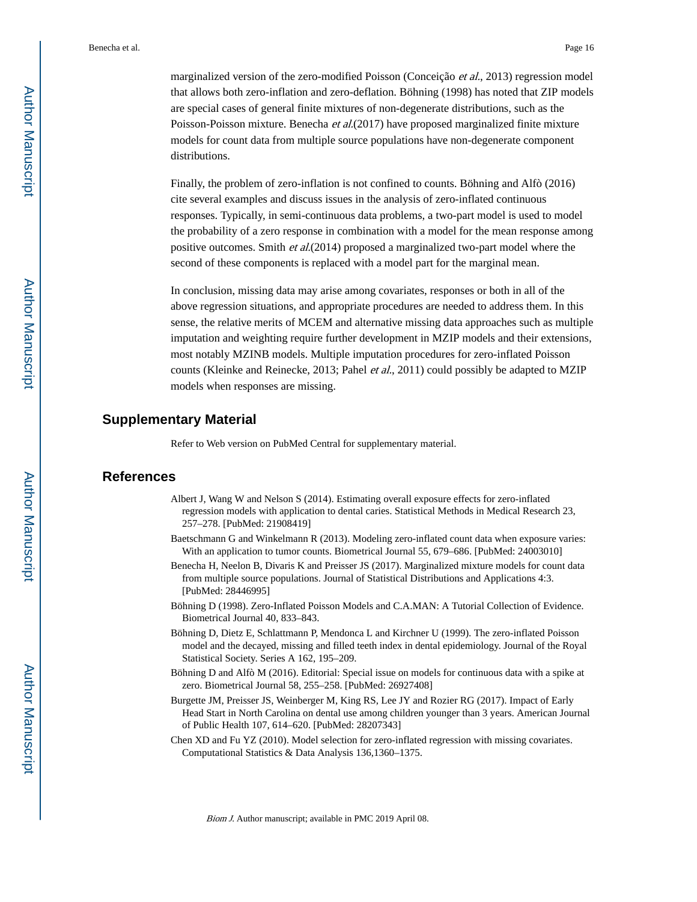marginalized version of the zero-modified Poisson (Conceição et al., 2013) regression model that allows both zero-inflation and zero-deflation. Böhning (1998) has noted that ZIP models are special cases of general finite mixtures of non-degenerate distributions, such as the Poisson-Poisson mixture. Benecha et al.(2017) have proposed marginalized finite mixture models for count data from multiple source populations have non-degenerate component distributions.

Finally, the problem of zero-inflation is not confined to counts. Böhning and Alfò (2016) cite several examples and discuss issues in the analysis of zero-inflated continuous responses. Typically, in semi-continuous data problems, a two-part model is used to model the probability of a zero response in combination with a model for the mean response among positive outcomes. Smith et al.(2014) proposed a marginalized two-part model where the second of these components is replaced with a model part for the marginal mean.

In conclusion, missing data may arise among covariates, responses or both in all of the above regression situations, and appropriate procedures are needed to address them. In this sense, the relative merits of MCEM and alternative missing data approaches such as multiple imputation and weighting require further development in MZIP models and their extensions, most notably MZINB models. Multiple imputation procedures for zero-inflated Poisson counts (Kleinke and Reinecke, 2013; Pahel et al., 2011) could possibly be adapted to MZIP models when responses are missing.

#### **Supplementary Material**

Refer to Web version on PubMed Central for supplementary material.

#### **References**

- Albert J, Wang W and Nelson S (2014). Estimating overall exposure effects for zero-inflated regression models with application to dental caries. Statistical Methods in Medical Research 23, 257–278. [PubMed: 21908419]
- Baetschmann G and Winkelmann R (2013). Modeling zero-inflated count data when exposure varies: With an application to tumor counts. Biometrical Journal 55, 679–686. [PubMed: 24003010]
- Benecha H, Neelon B, Divaris K and Preisser JS (2017). Marginalized mixture models for count data from multiple source populations. Journal of Statistical Distributions and Applications 4:3. [PubMed: 28446995]
- Böhning D (1998). Zero-Inflated Poisson Models and C.A.MAN: A Tutorial Collection of Evidence. Biometrical Journal 40, 833–843.
- Böhning D, Dietz E, Schlattmann P, Mendonca L and Kirchner U (1999). The zero-inflated Poisson model and the decayed, missing and filled teeth index in dental epidemiology. Journal of the Royal Statistical Society. Series A 162, 195–209.
- Böhning D and Alfò M (2016). Editorial: Special issue on models for continuous data with a spike at zero. Biometrical Journal 58, 255–258. [PubMed: 26927408]
- Burgette JM, Preisser JS, Weinberger M, King RS, Lee JY and Rozier RG (2017). Impact of Early Head Start in North Carolina on dental use among children younger than 3 years. American Journal of Public Health 107, 614–620. [PubMed: 28207343]
- Chen XD and Fu YZ (2010). Model selection for zero-inflated regression with missing covariates. Computational Statistics & Data Analysis 136,1360–1375.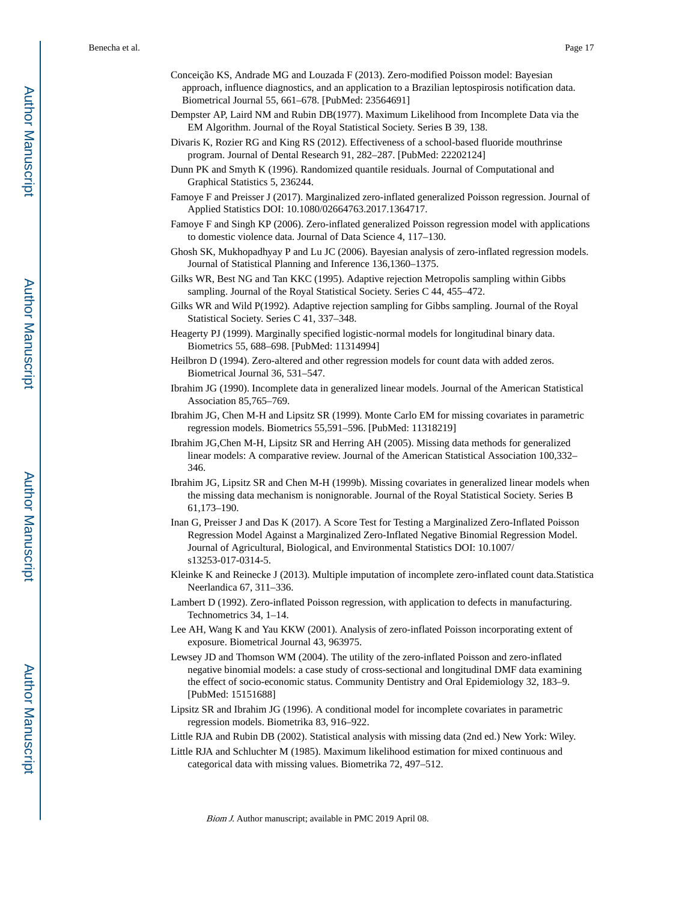- Conceição KS, Andrade MG and Louzada F (2013). Zero-modified Poisson model: Bayesian approach, influence diagnostics, and an application to a Brazilian leptospirosis notification data. Biometrical Journal 55, 661–678. [PubMed: 23564691]
- Dempster AP, Laird NM and Rubin DB(1977). Maximum Likelihood from Incomplete Data via the EM Algorithm. Journal of the Royal Statistical Society. Series B 39, 138.
- Divaris K, Rozier RG and King RS (2012). Effectiveness of a school-based fluoride mouthrinse program. Journal of Dental Research 91, 282–287. [PubMed: 22202124]
- Dunn PK and Smyth K (1996). Randomized quantile residuals. Journal of Computational and Graphical Statistics 5, 236244.
- Famoye F and Preisser J (2017). Marginalized zero-inflated generalized Poisson regression. Journal of Applied Statistics DOI: 10.1080/02664763.2017.1364717.
- Famoye F and Singh KP (2006). Zero-inflated generalized Poisson regression model with applications to domestic violence data. Journal of Data Science 4, 117–130.
- Ghosh SK, Mukhopadhyay P and Lu JC (2006). Bayesian analysis of zero-inflated regression models. Journal of Statistical Planning and Inference 136,1360–1375.
- Gilks WR, Best NG and Tan KKC (1995). Adaptive rejection Metropolis sampling within Gibbs sampling. Journal of the Royal Statistical Society. Series C 44, 455–472.
- Gilks WR and Wild P(1992). Adaptive rejection sampling for Gibbs sampling. Journal of the Royal Statistical Society. Series C 41, 337–348.
- Heagerty PJ (1999). Marginally specified logistic-normal models for longitudinal binary data. Biometrics 55, 688–698. [PubMed: 11314994]
- Heilbron D (1994). Zero-altered and other regression models for count data with added zeros. Biometrical Journal 36, 531–547.
- Ibrahim JG (1990). Incomplete data in generalized linear models. Journal of the American Statistical Association 85,765–769.
- Ibrahim JG, Chen M-H and Lipsitz SR (1999). Monte Carlo EM for missing covariates in parametric regression models. Biometrics 55,591–596. [PubMed: 11318219]
- Ibrahim JG,Chen M-H, Lipsitz SR and Herring AH (2005). Missing data methods for generalized linear models: A comparative review. Journal of the American Statistical Association 100,332– 346.
- Ibrahim JG, Lipsitz SR and Chen M-H (1999b). Missing covariates in generalized linear models when the missing data mechanism is nonignorable. Journal of the Royal Statistical Society. Series B 61,173–190.
- Inan G, Preisser J and Das K (2017). A Score Test for Testing a Marginalized Zero-Inflated Poisson Regression Model Against a Marginalized Zero-Inflated Negative Binomial Regression Model. Journal of Agricultural, Biological, and Environmental Statistics DOI: 10.1007/ s13253-017-0314-5.
- Kleinke K and Reinecke J (2013). Multiple imputation of incomplete zero-inflated count data.Statistica Neerlandica 67, 311–336.
- Lambert D (1992). Zero-inflated Poisson regression, with application to defects in manufacturing. Technometrics 34, 1–14.
- Lee AH, Wang K and Yau KKW (2001). Analysis of zero-inflated Poisson incorporating extent of exposure. Biometrical Journal 43, 963975.
- Lewsey JD and Thomson WM (2004). The utility of the zero-inflated Poisson and zero-inflated negative binomial models: a case study of cross-sectional and longitudinal DMF data examining the effect of socio-economic status. Community Dentistry and Oral Epidemiology 32, 183–9. [PubMed: 15151688]
- Lipsitz SR and Ibrahim JG (1996). A conditional model for incomplete covariates in parametric regression models. Biometrika 83, 916–922.
- Little RJA and Rubin DB (2002). Statistical analysis with missing data (2nd ed.) New York: Wiley.
- Little RJA and Schluchter M (1985). Maximum likelihood estimation for mixed continuous and categorical data with missing values. Biometrika 72, 497–512.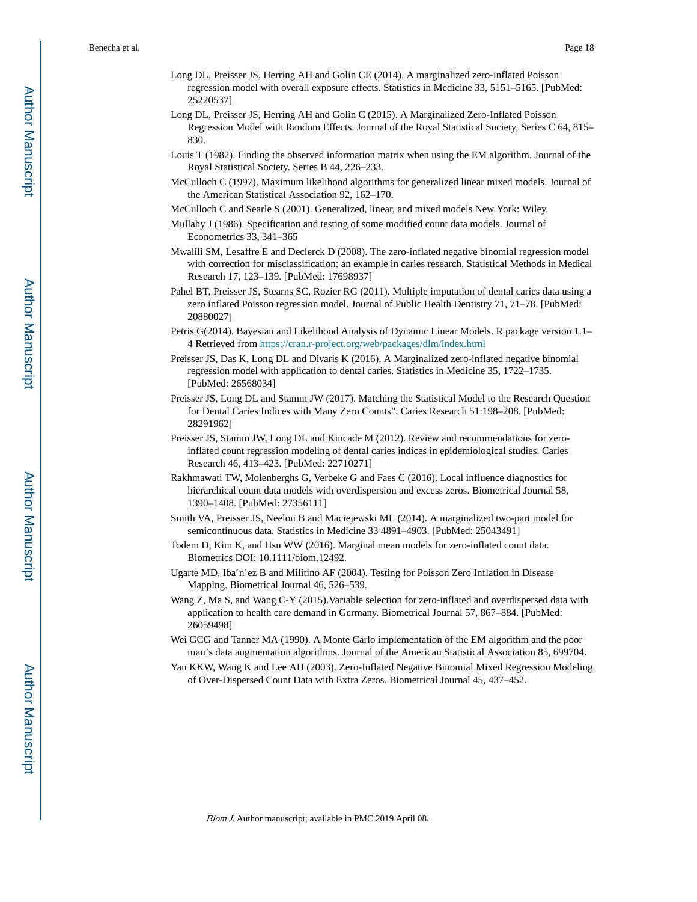- Long DL, Preisser JS, Herring AH and Golin CE (2014). A marginalized zero-inflated Poisson regression model with overall exposure effects. Statistics in Medicine 33, 5151–5165. [PubMed: 25220537]
- Long DL, Preisser JS, Herring AH and Golin C (2015). A Marginalized Zero-Inflated Poisson Regression Model with Random Effects. Journal of the Royal Statistical Society, Series C 64, 815– 830.
- Louis T (1982). Finding the observed information matrix when using the EM algorithm. Journal of the Royal Statistical Society. Series B 44, 226–233.
- McCulloch C (1997). Maximum likelihood algorithms for generalized linear mixed models. Journal of the American Statistical Association 92, 162–170.
- McCulloch C and Searle S (2001). Generalized, linear, and mixed models New York: Wiley.
- Mullahy J (1986). Specification and testing of some modified count data models. Journal of Econometrics 33, 341–365
- Mwalili SM, Lesaffre E and Declerck D (2008). The zero-inflated negative binomial regression model with correction for misclassification: an example in caries research. Statistical Methods in Medical Research 17, 123–139. [PubMed: 17698937]
- Pahel BT, Preisser JS, Stearns SC, Rozier RG (2011). Multiple imputation of dental caries data using a zero inflated Poisson regression model. Journal of Public Health Dentistry 71, 71–78. [PubMed: 20880027]
- Petris G(2014). Bayesian and Likelihood Analysis of Dynamic Linear Models. R package version 1.1– 4 Retrieved from<https://cran.r-project.org/web/packages/dlm/index.html>
- Preisser JS, Das K, Long DL and Divaris K (2016). A Marginalized zero-inflated negative binomial regression model with application to dental caries. Statistics in Medicine 35, 1722–1735. [PubMed: 26568034]
- Preisser JS, Long DL and Stamm JW (2017). Matching the Statistical Model to the Research Question for Dental Caries Indices with Many Zero Counts". Caries Research 51:198–208. [PubMed: 28291962]
- Preisser JS, Stamm JW, Long DL and Kincade M (2012). Review and recommendations for zeroinflated count regression modeling of dental caries indices in epidemiological studies. Caries Research 46, 413–423. [PubMed: 22710271]
- Rakhmawati TW, Molenberghs G, Verbeke G and Faes C (2016). Local influence diagnostics for hierarchical count data models with overdispersion and excess zeros. Biometrical Journal 58, 1390–1408. [PubMed: 27356111]
- Smith VA, Preisser JS, Neelon B and Maciejewski ML (2014). A marginalized two-part model for semicontinuous data. Statistics in Medicine 33 4891–4903. [PubMed: 25043491]
- Todem D, Kim K, and Hsu WW (2016). Marginal mean models for zero-inflated count data. Biometrics DOI: 10.1111/biom.12492.
- Ugarte MD, Iba´n´ez B and Militino AF (2004). Testing for Poisson Zero Inflation in Disease Mapping. Biometrical Journal 46, 526–539.
- Wang Z, Ma S, and Wang C-Y (2015).Variable selection for zero-inflated and overdispersed data with application to health care demand in Germany. Biometrical Journal 57, 867–884. [PubMed: 26059498]
- Wei GCG and Tanner MA (1990). A Monte Carlo implementation of the EM algorithm and the poor man's data augmentation algorithms. Journal of the American Statistical Association 85, 699704.
- Yau KKW, Wang K and Lee AH (2003). Zero-Inflated Negative Binomial Mixed Regression Modeling of Over-Dispersed Count Data with Extra Zeros. Biometrical Journal 45, 437–452.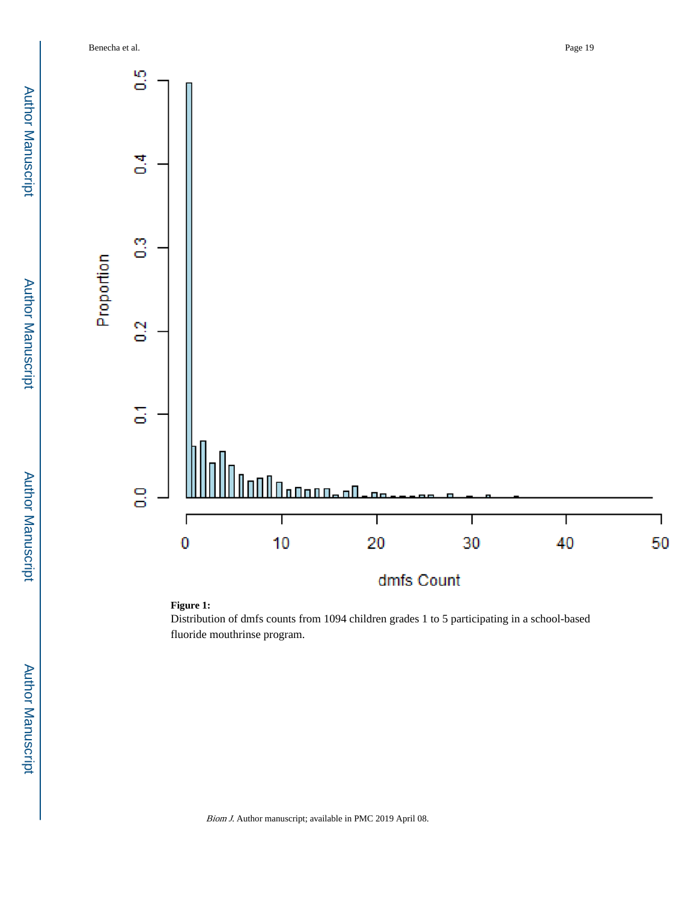



Distribution of dmfs counts from 1094 children grades 1 to 5 participating in a school-based fluoride mouthrinse program.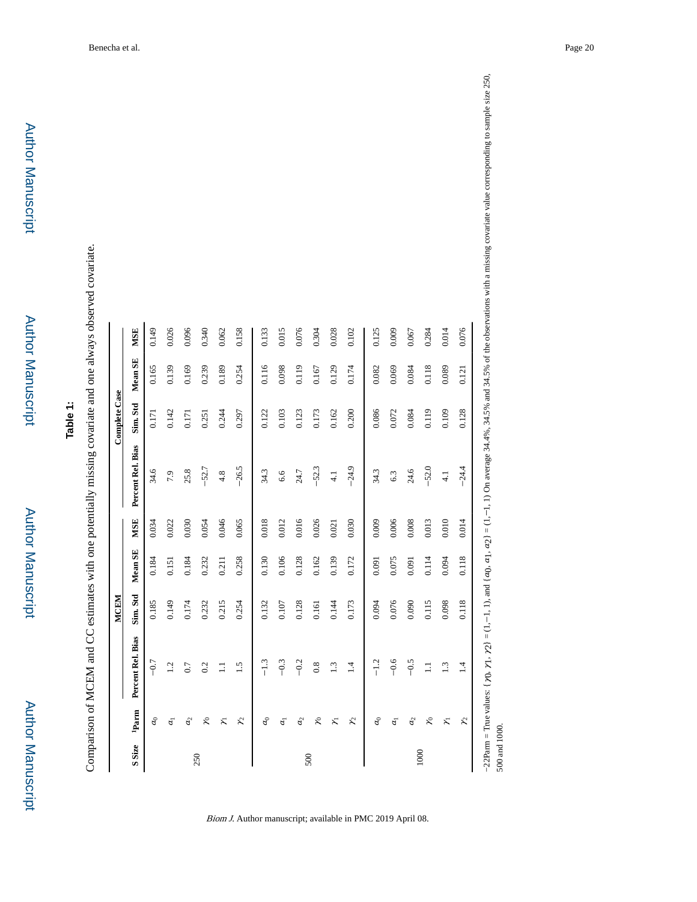| ٠ |
|---|
| r |
|   |
|   |
| ì |
| i |
| ٠ |

# **Table 1:**

Comparison of MCEM and CC estimates with one potentially missing covariate and one always observed covariate. Comparison of MCEM and CC estimates with one potentially missing covariate and one always observed covariate.

|              |                  |                   | <b>MCEM</b> |         |            |                   | Complete Case |         |            |
|--------------|------------------|-------------------|-------------|---------|------------|-------------------|---------------|---------|------------|
| <b>SSize</b> | $\mathbf{Parm}$  | Percent Rel. Bias | Sim. Std    | Mean SE | <b>MSE</b> | Percent Rel. Bias | Sim. Std      | Mean SE | <b>MSE</b> |
|              | $\sigma$         | $-0.7$            | 0.185       | 0.184   | 0.034      | 34.6              | 0.171         | 0.165   | 0.149      |
|              | $\overline{a}$   | 1.2               | 0.149       | 0.151   | 0.022      | 7.9               | 0.142         | 0.139   | 0.026      |
|              | $\sigma$         | 0.7               | 0.174       | 0.184   | 0.030      | 25.8              | 0.171         | 0.169   | 0.096      |
| 250          | $\approx$        | 0.2               | 0.232       | 0.232   | 0.054      | $-52.7$           | 0.251         | 0.239   | 0.340      |
|              | $\tilde{\kappa}$ | $\Xi$             | 0.215       | 0.211   | 0.046      | 4.8               | 0.244         | 0.189   | 0.062      |
|              | $\chi$           | 1.5               | 0.254       | 0.258   | 0.065      | $-26.5$           | 0.297         | 0.254   | 0.158      |
|              | a <sub>0</sub>   | $-1.3$            | 0.132       | 0.130   | 0.018      | 34.3              | 0.122         | 0.116   | 0.133      |
|              | $\overline{a}$   | $-0.3$            | $0.107\,$   | 0.106   | 0.012      | 6.6               | 0.103         | 0.098   | 0.015      |
|              | $\mathcal{G}$    | $-0.2$            | 0.128       | 0.128   | 0.016      | 24.7              | 0.123         | 0.119   | 0.076      |
| 500          | $\approx$        | 0.8               | 0.161       | 0.162   | 0.026      | $-52.3$           | 0.173         | 0.167   | 0.304      |
|              | $\tilde{\kappa}$ | 1.3               | 0.144       | 0.139   | 0.021      | $\frac{1}{4}$     | 0.162         | 0.129   | 0.028      |
|              | Y,               | 1.4               | 0.173       | 0.172   | 0.030      | $-24.9$           | 0.200         | 0.174   | 0.102      |
|              | a <sub>0</sub>   | $-1.2$            | 0.094       | 0.091   | 0.009      | 34.3              | 0.086         | 0.082   | 0.125      |
|              | $\overline{a}$   | $-0.6$            | 0.076       | 0.075   | 0.006      | 6.3               | 0.072         | 0.069   | 0.009      |
|              | a <sub>2</sub>   | $-0.5$            | 0.090       | 0.091   | 0.008      | 24.6              | 0.084         | 0.084   | 0.067      |
| 1000         | $\mathcal{Z}$    | $\Xi$             | 0.115       | 0.114   | 0.013      | $-52.0$           | 0.119         | 0.118   | 0.284      |
|              | $\tilde{\kappa}$ | $\frac{3}{2}$     | 0.098       | 0.094   | 0.010      | $\frac{1}{4}$     | 0.109         | 0.089   | 0.014      |
|              | $\chi$           | 1.4               | 0.118       | 0.118   | 0.014      | $-24.4$           | 0.128         | 0.121   | 0.076      |

Biom J. Author manuscript; available in PMC 2019 April 08.

500 and 1000.

500 and 1000.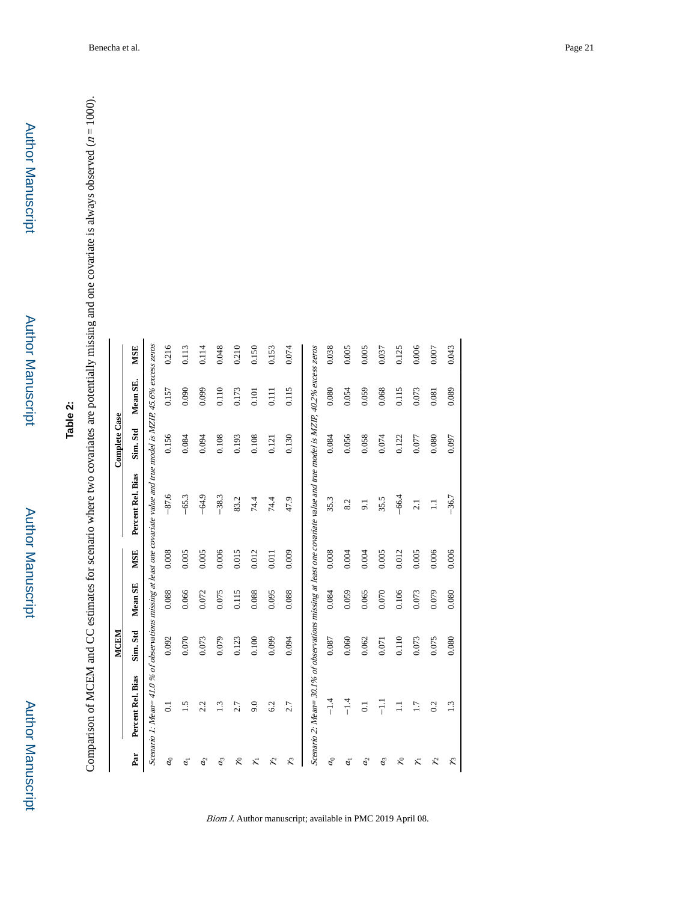Author Manuscript

Author Manuscript

## **Table 2:**

Comparison of MCEM and CC estimates for scenario where two covariates are potentially missing and one covariate is always observed ( Comparison of MCEM and CC estimates for scenario where two covariates are potentially missing and one covariate is always observed  $(n = 1000)$ .

|                          |                                                                                                                          | <b>MCEM</b> |           |            |                   | Complete Case |          |            |
|--------------------------|--------------------------------------------------------------------------------------------------------------------------|-------------|-----------|------------|-------------------|---------------|----------|------------|
| Par                      | Percent Rel. Bias                                                                                                        | Sim. Std    | Mean SE   | <b>MSE</b> | Percent Rel. Bias | Sim. Std      | Mean SE. | <b>MSE</b> |
|                          | Scenario 1: Mean= 41.0 % of observations missing at least one covariate value and true model is MZIP, 45.6% excess zeros |             |           |            |                   |               |          |            |
| $a_0$                    | $\overline{c}$                                                                                                           | 0.092       | 0.088     | 0.008      | $-87.6$           | 0.156         | 0.157    | 0.216      |
| $\overline{a_1}$         | $\ddot{1}$                                                                                                               | $0.070\,$   | 0.066     | 0.005      | $-65.3$           | 0.084         | 0.090    | 0.113      |
| a <sub>2</sub>           | 2.2                                                                                                                      | 0.073       | 0.072     | 0.005      | $-64.9$           | 0.094         | 0.099    | 0.114      |
| $a_3$                    | 1.3                                                                                                                      | 0.079       | 0.075     | 0.006      | $-38.3$           | 0.108         | 0.110    | 0.048      |
| $\approx$                | 2.7                                                                                                                      | 0.123       | 0.115     | 0.015      | 83.2              | 0.193         | 0.173    | 0.210      |
| $\overline{\mathcal{X}}$ | 9.0                                                                                                                      | 0.100       | 0.088     | 0.012      | 74.4              | 0.108         | 0.101    | 0.150      |
| ζ                        | 6.2                                                                                                                      | 0.099       | 0.095     | 0.011      | 74.4              | 0.121         | 0.111    | 0.153      |
| z                        | 2.7                                                                                                                      | 0.094       | 0.088     | 0.009      | 47.9              | 0.130         | 0.115    | 0.074      |
|                          | Scenario 2: Mean= 30.1% of observations missing at least one covariate value and true model is MZIP, 40.2% excess zeros  |             |           |            |                   |               |          |            |
| $a_0$                    | $-1.4$                                                                                                                   | $0.087\,$   | 0.084     | 0.008      | 35.3              | 0.084         | 0.080    | 0.038      |
| $\overline{a}$           | $-1.4$                                                                                                                   | 0.060       | 0.059     | 0.004      | 8.2               | 0.056         | 0.054    | 0.005      |
| a <sub>2</sub>           | $\overline{0}$ .                                                                                                         | 0.062       | 0.065     | 0.004      | $\overline{5}$    | 0.058         | 0.059    | 0.005      |
| $a_3$                    | 류                                                                                                                        | 0.071       | $0.070\,$ | 0.005      | 35.5              | 0.074         | 0.068    | 0.037      |
| ξ                        | $\Xi$                                                                                                                    | 0.110       | 0.106     | 0.012      | $-66.4$           | 0.122         | 0.115    | 0.125      |
| え                        | 1.7                                                                                                                      | 0.073       | 0.073     | $0.005$    | 2.1               | $0.077$       | 0.073    | 0.006      |
| $\chi$                   | 0.2                                                                                                                      | 0.075       | 0.079     | 0.006      | $\Xi$             | 0.080         | 0.081    | 0.007      |
| ξ                        | 1.3                                                                                                                      | 0.080       | 0.080     | 0.006      | $-36.7$           | 0.097         | 0.089    | 0.043      |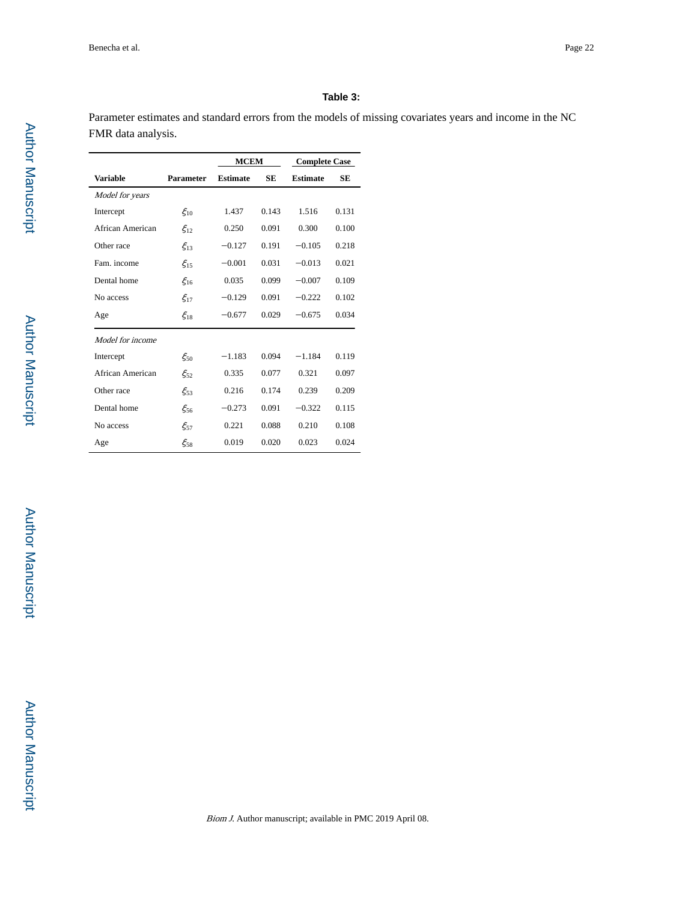#### **Table 3:**

Parameter estimates and standard errors from the models of missing covariates years and income in the NC FMR data analysis.

|                  |                  | <b>MCEM</b>     |           | <b>Complete Case</b> |       |
|------------------|------------------|-----------------|-----------|----------------------|-------|
| <b>Variable</b>  | <b>Parameter</b> | <b>Estimate</b> | <b>SE</b> | <b>Estimate</b>      | SE    |
| Model for years  |                  |                 |           |                      |       |
| Intercept        | $\xi_{10}$       | 1.437           | 0.143     | 1.516                | 0.131 |
| African American | $\xi_{12}$       | 0.250           | 0.091     | 0.300                | 0.100 |
| Other race       | $\xi_{13}$       | $-0.127$        | 0.191     | $-0.105$             | 0.218 |
| Fam. income      | $\xi_{15}$       | $-0.001$        | 0.031     | $-0.013$             | 0.021 |
| Dental home      | $\xi_{16}$       | 0.035           | 0.099     | $-0.007$             | 0.109 |
| No access        | $\xi_{17}$       | $-0.129$        | 0.091     | $-0.222$             | 0.102 |
| Age              | $\xi_{18}$       | $-0.677$        | 0.029     | $-0.675$             | 0.034 |
| Model for income |                  |                 |           |                      |       |
| Intercept        | $\xi_{50}$       | $-1.183$        | 0.094     | $-1.184$             | 0.119 |
| African American | $\xi_{52}$       | 0.335           | 0.077     | 0.321                | 0.097 |
| Other race       | $\xi_{53}$       | 0.216           | 0.174     | 0.239                | 0.209 |
| Dental home      | $\xi_{56}$       | $-0.273$        | 0.091     | $-0.322$             | 0.115 |
| No access        | $\xi_{57}$       | 0.221           | 0.088     | 0.210                | 0.108 |
| Age              | $\xi_{58}$       | 0.019           | 0.020     | 0.023                | 0.024 |